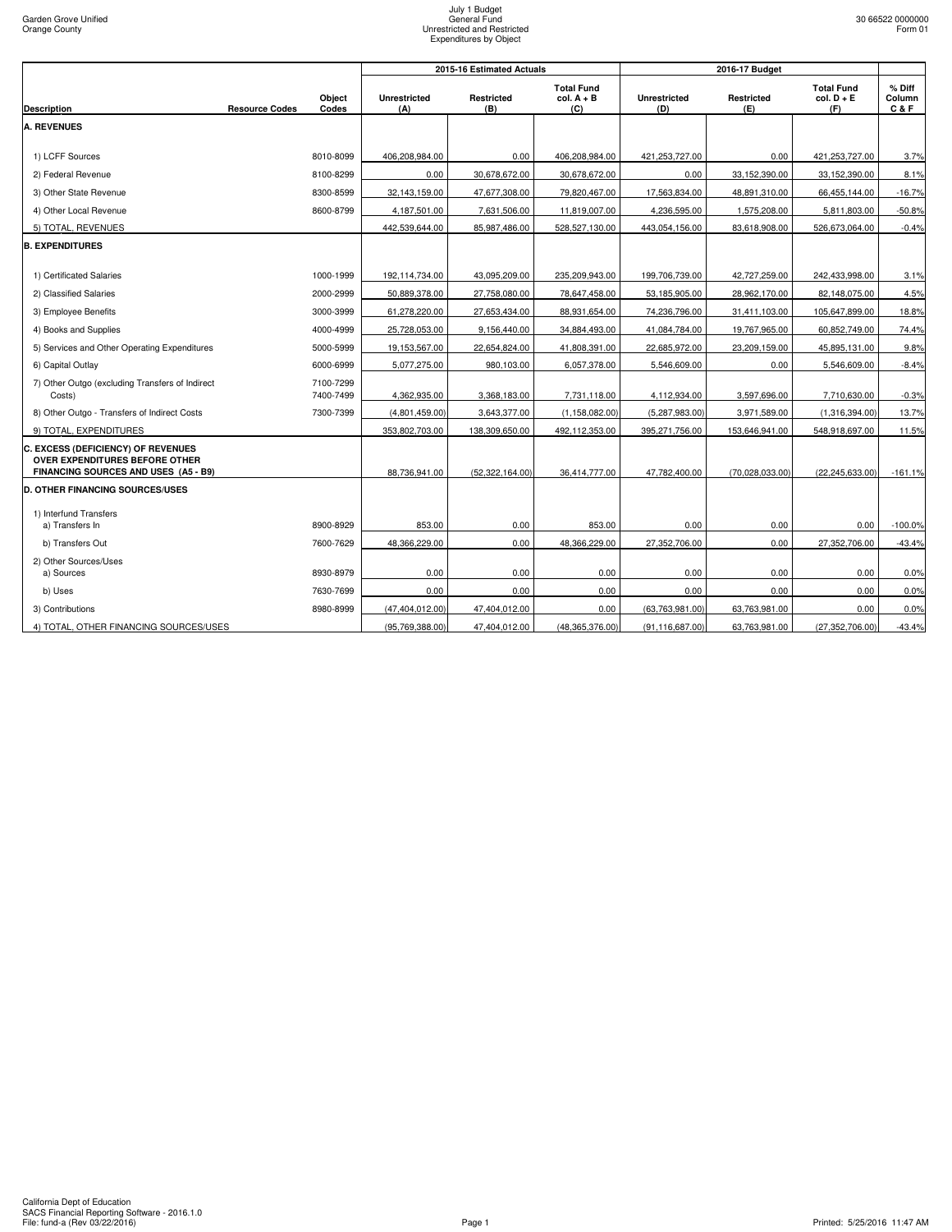|                                                                                                                     |                       |                        |                            | 2015-16 Estimated Actuals |                                          |                            |                   |                                          |                             |
|---------------------------------------------------------------------------------------------------------------------|-----------------------|------------------------|----------------------------|---------------------------|------------------------------------------|----------------------------|-------------------|------------------------------------------|-----------------------------|
| <b>Description</b>                                                                                                  | <b>Resource Codes</b> | Object<br>Codes        | <b>Unrestricted</b><br>(A) | <b>Restricted</b><br>(B)  | <b>Total Fund</b><br>$col. A + B$<br>(C) | <b>Unrestricted</b><br>(D) | Restricted<br>(E) | <b>Total Fund</b><br>$col. D + E$<br>(F) | $%$ Diff<br>Column<br>C & F |
| <b>A. REVENUES</b>                                                                                                  |                       |                        |                            |                           |                                          |                            |                   |                                          |                             |
|                                                                                                                     |                       |                        |                            |                           |                                          |                            |                   |                                          |                             |
| 1) LCFF Sources                                                                                                     |                       | 8010-8099              | 406,208,984.00             | 0.00                      | 406,208,984.00                           | 421,253,727.00             | 0.00              | 421,253,727.00                           | 3.7%                        |
| 2) Federal Revenue                                                                                                  |                       | 8100-8299              | 0.00                       | 30,678,672.00             | 30,678,672.00                            | 0.00                       | 33,152,390.00     | 33,152,390.00                            | 8.1%                        |
| 3) Other State Revenue                                                                                              |                       | 8300-8599              | 32,143,159.00              | 47,677,308.00             | 79,820,467.00                            | 17,563,834.00              | 48,891,310.00     | 66,455,144.00                            | $-16.7%$                    |
| 4) Other Local Revenue                                                                                              |                       | 8600-8799              | 4,187,501.00               | 7,631,506.00              | 11,819,007.00                            | 4,236,595.00               | 1,575,208.00      | 5,811,803.00                             | $-50.8%$                    |
| 5) TOTAL, REVENUES                                                                                                  |                       |                        | 442,539,644.00             | 85,987,486.00             | 528,527,130.00                           | 443,054,156.00             | 83,618,908.00     | 526,673,064.00                           | $-0.4%$                     |
| <b>B. EXPENDITURES</b>                                                                                              |                       |                        |                            |                           |                                          |                            |                   |                                          |                             |
|                                                                                                                     |                       |                        |                            |                           |                                          |                            |                   |                                          |                             |
| 1) Certificated Salaries                                                                                            |                       | 1000-1999              | 192,114,734.00             | 43,095,209.00             | 235,209,943.00                           | 199,706,739.00             | 42,727,259.00     | 242,433,998.00                           | 3.1%                        |
| 2) Classified Salaries                                                                                              |                       | 2000-2999              | 50,889,378.00              | 27,758,080.00             | 78,647,458.00                            | 53,185,905.00              | 28,962,170.00     | 82,148,075.00                            | 4.5%                        |
| 3) Employee Benefits                                                                                                |                       | 3000-3999              | 61,278,220.00              | 27,653,434.00             | 88,931,654.00                            | 74,236,796.00              | 31,411,103.00     | 105,647,899.00                           | 18.8%                       |
| 4) Books and Supplies                                                                                               |                       | 4000-4999              | 25,728,053.00              | 9,156,440.00              | 34,884,493.00                            | 41,084,784.00              | 19,767,965.00     | 60,852,749.00                            | 74.4%                       |
| 5) Services and Other Operating Expenditures                                                                        |                       | 5000-5999              | 19,153,567.00              | 22,654,824.00             | 41,808,391.00                            | 22,685,972.00              | 23,209,159.00     | 45,895,131.00                            | 9.8%                        |
| 6) Capital Outlay                                                                                                   |                       | 6000-6999              | 5,077,275.00               | 980,103.00                | 6,057,378.00                             | 5,546,609.00               | 0.00              | 5,546,609.00                             | $-8.4%$                     |
| 7) Other Outgo (excluding Transfers of Indirect<br>Costs)                                                           |                       | 7100-7299<br>7400-7499 | 4,362,935.00               | 3,368,183.00              | 7,731,118.00                             | 4,112,934.00               | 3,597,696.00      | 7,710,630.00                             | $-0.3%$                     |
| 8) Other Outgo - Transfers of Indirect Costs                                                                        |                       | 7300-7399              | (4,801,459.00)             | 3,643,377.00              | (1, 158, 082.00)                         | (5,287,983.00)             | 3,971,589.00      | (1,316,394.00)                           | 13.7%                       |
| 9) TOTAL, EXPENDITURES                                                                                              |                       |                        | 353,802,703.00             | 138,309,650.00            | 492,112,353.00                           | 395,271,756.00             | 153,646,941.00    | 548,918,697.00                           | 11.5%                       |
| C. EXCESS (DEFICIENCY) OF REVENUES<br><b>OVER EXPENDITURES BEFORE OTHER</b><br>FINANCING SOURCES AND USES (A5 - B9) |                       |                        | 88,736,941.00              | (52,322,164.00)           | 36,414,777.00                            | 47,782,400.00              | (70,028,033.00)   | (22, 245, 633.00)                        | $-161.1%$                   |
| <b>D. OTHER FINANCING SOURCES/USES</b>                                                                              |                       |                        |                            |                           |                                          |                            |                   |                                          |                             |
| 1) Interfund Transfers                                                                                              |                       |                        |                            |                           |                                          |                            |                   |                                          |                             |
| a) Transfers In                                                                                                     |                       | 8900-8929              | 853.00                     | 0.00                      | 853.00                                   | 0.00                       | 0.00              | 0.00                                     | $-100.0%$                   |
| b) Transfers Out                                                                                                    |                       | 7600-7629              | 48,366,229.00              | 0.00                      | 48,366,229.00                            | 27,352,706.00              | 0.00              | 27,352,706.00                            | $-43.4%$                    |
| 2) Other Sources/Uses                                                                                               |                       |                        |                            |                           |                                          |                            |                   |                                          |                             |
| a) Sources                                                                                                          |                       | 8930-8979              | 0.00                       | 0.00                      | 0.00                                     | 0.00                       | 0.00              | 0.00                                     | 0.0%                        |
| b) Uses                                                                                                             |                       | 7630-7699              | 0.00                       | 0.00                      | 0.00                                     | 0.00                       | 0.00              | 0.00                                     | 0.0%                        |
| 3) Contributions                                                                                                    |                       | 8980-8999              | (47, 404, 012.00)          | 47,404,012.00             | 0.00                                     | (63,763,981.00)            | 63,763,981.00     | 0.00                                     | 0.0%                        |
| 4) TOTAL, OTHER FINANCING SOURCES/USES                                                                              |                       |                        | (95, 769, 388.00)          | 47,404,012.00             | (48, 365, 376.00)                        | (91, 116, 687.00)          | 63,763,981.00     | (27, 352, 706.00)                        | $-43.4%$                    |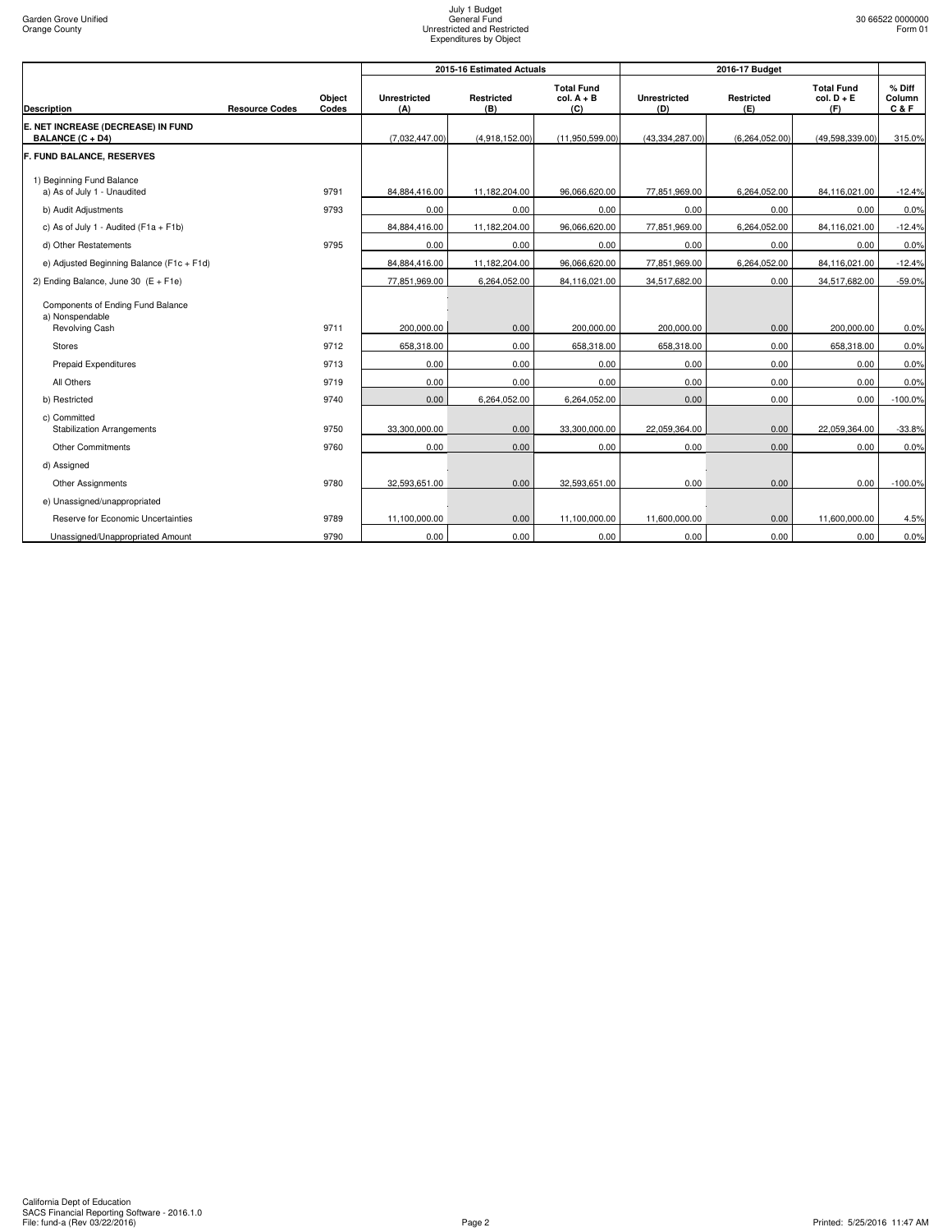|                                                          |                       |                 |                            | 2015-16 Estimated Actuals |                                          |                            | 2016-17 Budget    |                                          |                         |
|----------------------------------------------------------|-----------------------|-----------------|----------------------------|---------------------------|------------------------------------------|----------------------------|-------------------|------------------------------------------|-------------------------|
| <b>Description</b>                                       | <b>Resource Codes</b> | Object<br>Codes | <b>Unrestricted</b><br>(A) | <b>Restricted</b><br>(B)  | <b>Total Fund</b><br>$col. A + B$<br>(C) | <b>Unrestricted</b><br>(D) | Restricted<br>(E) | <b>Total Fund</b><br>$col. D + E$<br>(F) | % Diff<br>Column<br>C&F |
| E. NET INCREASE (DECREASE) IN FUND<br>BALANCE (C + D4)   |                       |                 | (7,032,447.00)             | (4,918,152.00)            | (11,950,599.00)                          | (43, 334, 287.00)          | (6,264,052.00)    | (49,598,339.00)                          | 315.0%                  |
| <b>F. FUND BALANCE, RESERVES</b>                         |                       |                 |                            |                           |                                          |                            |                   |                                          |                         |
| 1) Beginning Fund Balance<br>a) As of July 1 - Unaudited |                       | 9791            | 84,884,416.00              | 11,182,204.00             | 96,066,620.00                            | 77,851,969.00              | 6,264,052.00      | 84,116,021.00                            | $-12.4%$                |
| b) Audit Adjustments                                     |                       | 9793            | 0.00                       | 0.00                      | 0.00                                     | 0.00                       | 0.00              | 0.00                                     | 0.0%                    |
| c) As of July 1 - Audited ( $F1a + F1b$ )                |                       |                 | 84,884,416.00              | 11,182,204.00             | 96,066,620.00                            | 77,851,969.00              | 6,264,052.00      | 84,116,021.00                            | $-12.4%$                |
| d) Other Restatements                                    |                       | 9795            | 0.00                       | 0.00                      | 0.00                                     | 0.00                       | 0.00              | 0.00                                     | 0.0%                    |
| e) Adjusted Beginning Balance (F1c + F1d)                |                       |                 | 84,884,416.00              | 11,182,204.00             | 96,066,620.00                            | 77,851,969.00              | 6,264,052.00      | 84,116,021.00                            | $-12.4%$                |
| 2) Ending Balance, June 30 $(E + F1e)$                   |                       |                 | 77,851,969.00              | 6,264,052.00              | 84,116,021.00                            | 34,517,682.00              | 0.00              | 34,517,682.00                            | $-59.0%$                |
| Components of Ending Fund Balance<br>a) Nonspendable     |                       | 9711            |                            |                           |                                          |                            |                   |                                          |                         |
| Revolving Cash                                           |                       |                 | 200.000.00                 | 0.00                      | 200,000.00                               | 200,000.00                 | 0.00              | 200,000.00                               | 0.0%                    |
| <b>Stores</b>                                            |                       | 9712            | 658,318.00                 | 0.00                      | 658,318.00                               | 658,318.00                 | 0.00              | 658,318.00                               | 0.0%                    |
| <b>Prepaid Expenditures</b>                              |                       | 9713            | 0.00                       | 0.00                      | 0.00                                     | 0.00                       | 0.00              | 0.00                                     | 0.0%                    |
| All Others                                               |                       | 9719            | 0.00                       | 0.00                      | 0.00                                     | 0.00                       | 0.00              | 0.00                                     | 0.0%                    |
| b) Restricted                                            |                       | 9740            | 0.00                       | 6,264,052.00              | 6,264,052.00                             | 0.00                       | 0.00              | 0.00                                     | $-100.0%$               |
| c) Committed<br><b>Stabilization Arrangements</b>        |                       | 9750            | 33,300,000.00              | 0.00                      | 33,300,000.00                            | 22,059,364.00              | 0.00              | 22,059,364.00                            | $-33.8%$                |
| <b>Other Commitments</b>                                 |                       | 9760            | 0.00                       | 0.00                      | 0.00                                     | 0.00                       | 0.00              | 0.00                                     | 0.0%                    |
| d) Assigned                                              |                       |                 |                            |                           |                                          |                            |                   |                                          |                         |
| Other Assignments                                        |                       | 9780            | 32,593,651.00              | 0.00                      | 32,593,651.00                            | 0.00                       | 0.00              | 0.00                                     | $-100.0%$               |
| e) Unassigned/unappropriated                             |                       |                 |                            |                           |                                          |                            |                   |                                          |                         |
| Reserve for Economic Uncertainties                       |                       | 9789            | 11.100.000.00              | 0.00                      | 11,100,000.00                            | 11.600.000.00              | 0.00              | 11.600.000.00                            | 4.5%                    |
| Unassigned/Unappropriated Amount                         |                       | 9790            | 0.00                       | 0.00                      | 0.00                                     | 0.00                       | 0.00              | 0.00                                     | 0.0%                    |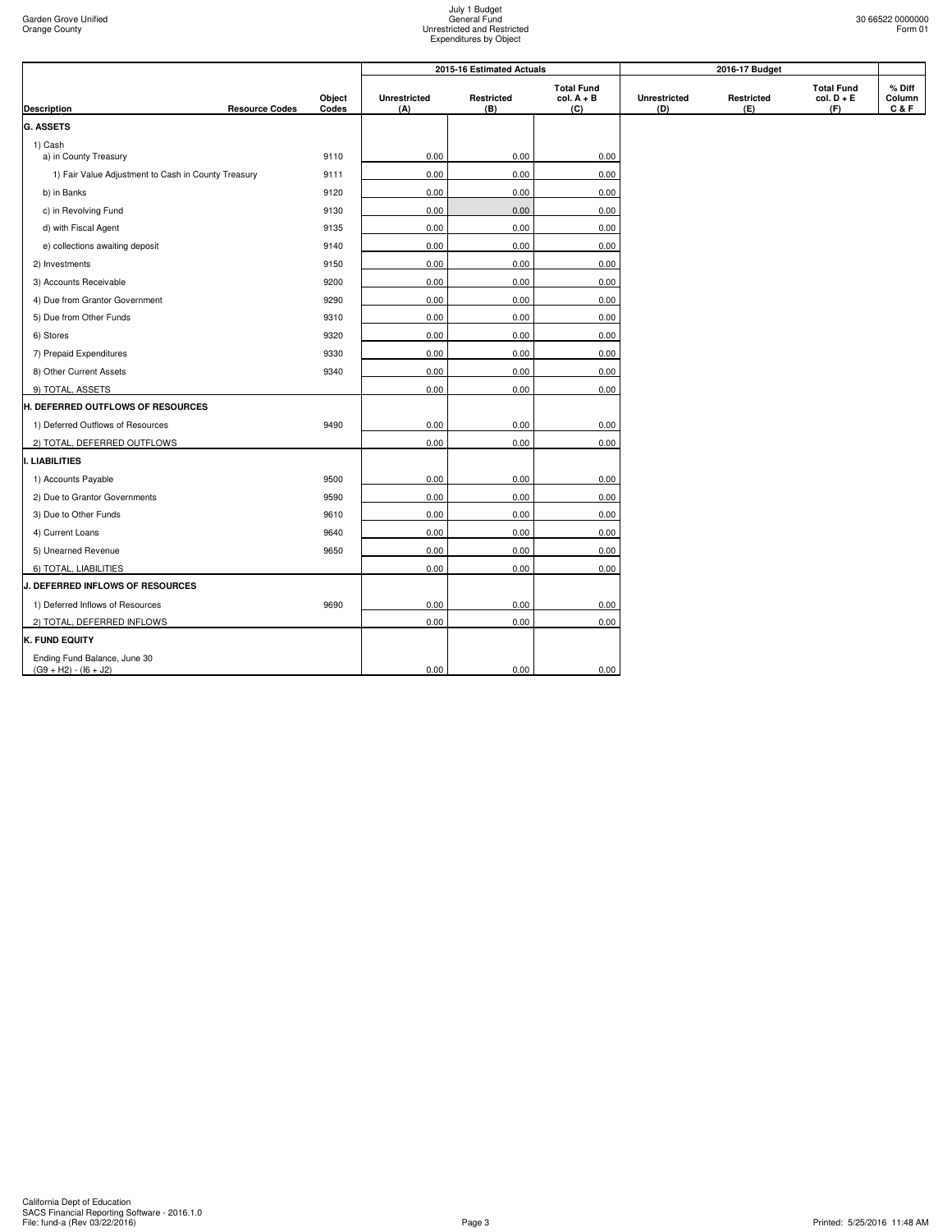|                                                         |                       | Object<br>Codes |                            | 2015-16 Estimated Actuals |                                          |                     | 2016-17 Budget    |                                          |                           |
|---------------------------------------------------------|-----------------------|-----------------|----------------------------|---------------------------|------------------------------------------|---------------------|-------------------|------------------------------------------|---------------------------|
| <b>Description</b>                                      | <b>Resource Codes</b> |                 | <b>Unrestricted</b><br>(A) | Restricted<br>(B)         | <b>Total Fund</b><br>$col. A + B$<br>(C) | Unrestricted<br>(D) | Restricted<br>(E) | <b>Total Fund</b><br>$col. D + E$<br>(F) | % Diff<br>Column<br>C & F |
| <b>G. ASSETS</b>                                        |                       |                 |                            |                           |                                          |                     |                   |                                          |                           |
| 1) Cash<br>a) in County Treasury                        |                       | 9110            | 0.00                       | 0.00                      | 0.00                                     |                     |                   |                                          |                           |
| 1) Fair Value Adjustment to Cash in County Treasury     |                       | 9111            | 0.00                       | 0.00                      | 0.00                                     |                     |                   |                                          |                           |
| b) in Banks                                             |                       | 9120            | 0.00                       | 0.00                      | 0.00                                     |                     |                   |                                          |                           |
| c) in Revolving Fund                                    |                       | 9130            | 0.00                       | 0.00                      | 0.00                                     |                     |                   |                                          |                           |
| d) with Fiscal Agent                                    |                       | 9135            | 0.00                       | 0.00                      | 0.00                                     |                     |                   |                                          |                           |
| e) collections awaiting deposit                         |                       | 9140            | 0.00                       | 0.00                      | 0.00                                     |                     |                   |                                          |                           |
| 2) Investments                                          |                       | 9150            | 0.00                       | 0.00                      | 0.00                                     |                     |                   |                                          |                           |
| 3) Accounts Receivable                                  |                       | 9200            | 0.00                       | 0.00                      | 0.00                                     |                     |                   |                                          |                           |
| 4) Due from Grantor Government                          |                       | 9290            | 0.00                       | 0.00                      | 0.00                                     |                     |                   |                                          |                           |
| 5) Due from Other Funds                                 |                       | 9310            | 0.00                       | 0.00                      | 0.00                                     |                     |                   |                                          |                           |
| 6) Stores                                               |                       | 9320            | 0.00                       | 0.00                      | 0.00                                     |                     |                   |                                          |                           |
| 7) Prepaid Expenditures                                 |                       | 9330            | 0.00                       | 0.00                      | 0.00                                     |                     |                   |                                          |                           |
| 8) Other Current Assets                                 |                       | 9340            | 0.00                       | 0.00                      | 0.00                                     |                     |                   |                                          |                           |
| 9) TOTAL, ASSETS                                        |                       |                 | 0.00                       | 0.00                      | 0.00                                     |                     |                   |                                          |                           |
| H. DEFERRED OUTFLOWS OF RESOURCES                       |                       |                 |                            |                           |                                          |                     |                   |                                          |                           |
| 1) Deferred Outflows of Resources                       |                       | 9490            | 0.00                       | 0.00                      | 0.00                                     |                     |                   |                                          |                           |
| 2) TOTAL, DEFERRED OUTFLOWS                             |                       |                 | 0.00                       | 0.00                      | 0.00                                     |                     |                   |                                          |                           |
| <b>LIABILITIES</b>                                      |                       |                 |                            |                           |                                          |                     |                   |                                          |                           |
| 1) Accounts Payable                                     |                       | 9500            | 0.00                       | 0.00                      | 0.00                                     |                     |                   |                                          |                           |
| 2) Due to Grantor Governments                           |                       | 9590            | 0.00                       | 0.00                      | 0.00                                     |                     |                   |                                          |                           |
| 3) Due to Other Funds                                   |                       | 9610            | 0.00                       | 0.00                      | 0.00                                     |                     |                   |                                          |                           |
| 4) Current Loans                                        |                       | 9640            | 0.00                       | 0.00                      | 0.00                                     |                     |                   |                                          |                           |
| 5) Unearned Revenue                                     |                       | 9650            | 0.00                       | 0.00                      | 0.00                                     |                     |                   |                                          |                           |
| 6) TOTAL, LIABILITIES                                   |                       |                 | 0.00                       | 0.00                      | 0.00                                     |                     |                   |                                          |                           |
| <b>J. DEFERRED INFLOWS OF RESOURCES</b>                 |                       |                 |                            |                           |                                          |                     |                   |                                          |                           |
| 1) Deferred Inflows of Resources                        |                       | 9690            | 0.00                       | 0.00                      | 0.00                                     |                     |                   |                                          |                           |
| 2) TOTAL, DEFERRED INFLOWS                              |                       |                 | 0.00                       | 0.00                      | 0.00                                     |                     |                   |                                          |                           |
| <b>K. FUND EQUITY</b>                                   |                       |                 |                            |                           |                                          |                     |                   |                                          |                           |
| Ending Fund Balance, June 30<br>$(G9 + H2) - (16 + J2)$ |                       |                 | 0.00                       | 0.00                      | 0.00                                     |                     |                   |                                          |                           |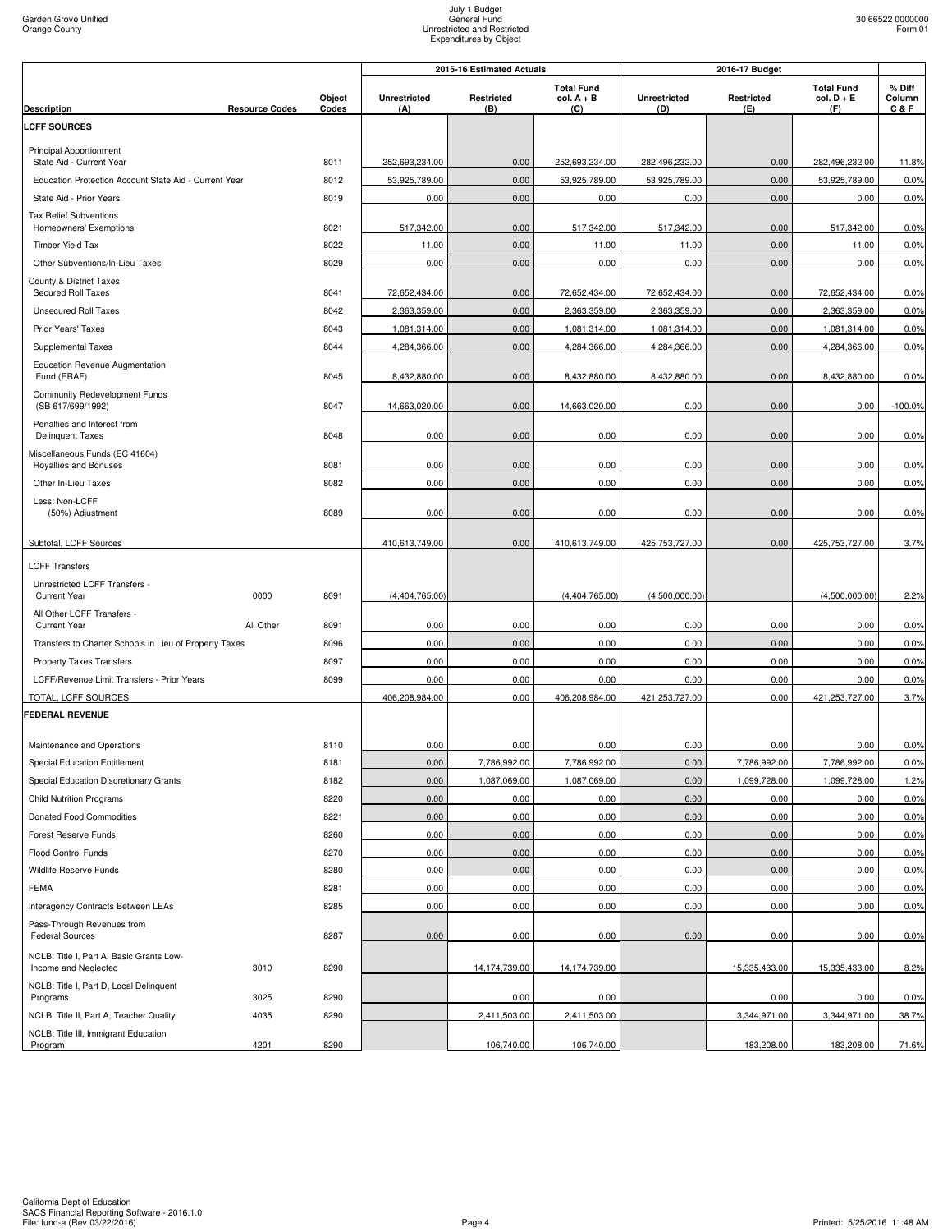|                                                                                           |                       |                 | 2015-16 Estimated Actuals  |                   |                                          | 2016-17 Budget             |                          |                                          |                           |
|-------------------------------------------------------------------------------------------|-----------------------|-----------------|----------------------------|-------------------|------------------------------------------|----------------------------|--------------------------|------------------------------------------|---------------------------|
| <b>Description</b>                                                                        | <b>Resource Codes</b> | Object<br>Codes | <b>Unrestricted</b><br>(A) | Restricted<br>(B) | <b>Total Fund</b><br>$col. A + B$<br>(C) | <b>Unrestricted</b><br>(D) | <b>Restricted</b><br>(E) | <b>Total Fund</b><br>$col. D + E$<br>(F) | % Diff<br>Column<br>C & F |
| <b>LCFF SOURCES</b>                                                                       |                       |                 |                            |                   |                                          |                            |                          |                                          |                           |
| <b>Principal Apportionment</b>                                                            |                       |                 |                            |                   |                                          |                            |                          |                                          |                           |
| State Aid - Current Year                                                                  |                       | 8011            | 252,693,234.00             | 0.00              | 252,693,234.00                           | 282,496,232.00             | 0.00                     | 282,496,232.00                           | 11.8%                     |
| Education Protection Account State Aid - Current Year                                     |                       | 8012            | 53,925,789.00              | 0.00              | 53,925,789.00                            | 53,925,789.00              | 0.00                     | 53,925,789.00                            | 0.0%                      |
| State Aid - Prior Years                                                                   |                       | 8019            | 0.00                       | 0.00              | 0.00                                     | 0.00                       | 0.00                     | 0.00                                     | 0.0%                      |
| <b>Tax Relief Subventions</b>                                                             |                       |                 |                            |                   |                                          |                            |                          |                                          |                           |
| Homeowners' Exemptions                                                                    |                       | 8021            | 517,342.00                 | 0.00              | 517,342.00                               | 517,342.00                 | 0.00                     | 517,342.00                               | 0.0%                      |
| Timber Yield Tax<br>Other Subventions/In-Lieu Taxes                                       |                       | 8022<br>8029    | 11.00<br>0.00              | 0.00<br>0.00      | 11.00<br>0.00                            | 11.00<br>0.00              | 0.00<br>0.00             | 11.00<br>0.00                            | 0.0%<br>0.0%              |
| County & District Taxes                                                                   |                       |                 |                            |                   |                                          |                            |                          |                                          |                           |
| Secured Roll Taxes                                                                        |                       | 8041            | 72,652,434.00              | 0.00              | 72,652,434.00                            | 72,652,434.00              | 0.00                     | 72,652,434.00                            | 0.0%                      |
| <b>Unsecured Roll Taxes</b>                                                               |                       | 8042            | 2,363,359.00               | 0.00              | 2,363,359.00                             | 2,363,359.00               | 0.00                     | 2,363,359.00                             | 0.0%                      |
| Prior Years' Taxes                                                                        |                       | 8043            | 1,081,314.00               | 0.00              | 1,081,314.00                             | 1,081,314.00               | 0.00                     | 1,081,314.00                             | 0.0%                      |
| <b>Supplemental Taxes</b>                                                                 |                       | 8044            | 4,284,366.00               | 0.00              | 4,284,366.00                             | 4,284,366.00               | 0.00                     | 4,284,366.00                             | 0.0%                      |
| <b>Education Revenue Augmentation</b><br>Fund (ERAF)                                      |                       | 8045            | 8,432,880.00               | 0.00              | 8,432,880.00                             | 8,432,880.00               | 0.00                     | 8,432,880.00                             | 0.0%                      |
| Community Redevelopment Funds<br>(SB 617/699/1992)                                        |                       | 8047            | 14,663,020.00              | 0.00              | 14,663,020.00                            | 0.00                       | 0.00                     | 0.00                                     | $-100.0%$                 |
| Penalties and Interest from<br><b>Delinquent Taxes</b>                                    |                       | 8048            | 0.00                       | 0.00              | 0.00                                     | 0.00                       | 0.00                     | 0.00                                     | 0.0%                      |
| Miscellaneous Funds (EC 41604)<br>Royalties and Bonuses                                   |                       | 8081            | 0.00                       | 0.00              | 0.00                                     | 0.00                       | 0.00                     | 0.00                                     | 0.0%                      |
| Other In-Lieu Taxes                                                                       |                       | 8082            | 0.00                       | 0.00              | 0.00                                     | 0.00                       | 0.00                     | 0.00                                     | 0.0%                      |
| Less: Non-LCFF<br>(50%) Adjustment                                                        |                       | 8089            | 0.00                       | 0.00              | 0.00                                     | 0.00                       | 0.00                     | 0.00                                     | 0.0%                      |
| Subtotal, LCFF Sources                                                                    |                       |                 | 410,613,749.00             | 0.00              | 410,613,749.00                           | 425,753,727.00             | 0.00                     | 425,753,727.00                           | 3.7%                      |
| <b>LCFF Transfers</b>                                                                     |                       |                 |                            |                   |                                          |                            |                          |                                          |                           |
| Unrestricted LCFF Transfers -<br><b>Current Year</b>                                      | 0000                  | 8091            | (4,404,765.00)             |                   | (4,404,765.00)                           | (4,500,000.00)             |                          | (4,500,000.00)                           | 2.2%                      |
| All Other LCFF Transfers -                                                                |                       |                 |                            |                   |                                          |                            |                          |                                          |                           |
| <b>Current Year</b>                                                                       | All Other             | 8091            | 0.00                       | 0.00              | 0.00                                     | 0.00                       | 0.00                     | 0.00                                     | 0.0%                      |
| Transfers to Charter Schools in Lieu of Property Taxes<br><b>Property Taxes Transfers</b> |                       | 8096<br>8097    | 0.00<br>0.00               | 0.00<br>0.00      | 0.00<br>0.00                             | 0.00<br>0.00               | 0.00<br>0.00             | 0.00<br>0.00                             | 0.0%<br>0.0%              |
| LCFF/Revenue Limit Transfers - Prior Years                                                |                       | 8099            | 0.00                       | 0.00              | 0.00                                     | 0.00                       | 0.00                     | 0.00                                     | 0.0%                      |
| TOTAL, LCFF SOURCES                                                                       |                       |                 | 406,208,984.00             | 0.00              | 406,208,984.00                           | 421,253,727.00             | 0.00                     | 421,253,727.00                           | 3.7%                      |
| <b>FEDERAL REVENUE</b>                                                                    |                       |                 |                            |                   |                                          |                            |                          |                                          |                           |
|                                                                                           |                       |                 |                            |                   |                                          |                            |                          |                                          |                           |
| Maintenance and Operations                                                                |                       | 8110            | 0.00                       | 0.00              | 0.00                                     | 0.00                       | 0.00                     | 0.00                                     | 0.0%                      |
| Special Education Entitlement                                                             |                       | 8181            | 0.00                       | 7,786,992.00      | 7,786,992.00                             | 0.00                       | 7,786,992.00             | 7,786,992.00                             | 0.0%                      |
| Special Education Discretionary Grants                                                    |                       | 8182            | 0.00                       | 1,087,069.00      | 1,087,069.00                             | 0.00                       | 1,099,728.00             | 1,099,728.00                             | 1.2%                      |
| <b>Child Nutrition Programs</b><br>Donated Food Commodities                               |                       | 8220<br>8221    | 0.00<br>0.00               | 0.00<br>0.00      | 0.00<br>0.00                             | 0.00<br>0.00               | 0.00<br>0.00             | 0.00<br>0.00                             | 0.0%<br>0.0%              |
| Forest Reserve Funds                                                                      |                       | 8260            | 0.00                       | 0.00              | 0.00                                     | 0.00                       | 0.00                     | 0.00                                     | 0.0%                      |
| Flood Control Funds                                                                       |                       | 8270            | 0.00                       | 0.00              | 0.00                                     | 0.00                       | 0.00                     | 0.00                                     | 0.0%                      |
| Wildlife Reserve Funds                                                                    |                       | 8280            | 0.00                       | 0.00              | 0.00                                     | 0.00                       | 0.00                     | 0.00                                     | 0.0%                      |
| <b>FEMA</b>                                                                               |                       | 8281            | 0.00                       | 0.00              | 0.00                                     | 0.00                       | 0.00                     | 0.00                                     | 0.0%                      |
| Interagency Contracts Between LEAs                                                        |                       | 8285            | 0.00                       | 0.00              | 0.00                                     | 0.00                       | 0.00                     | 0.00                                     | 0.0%                      |
| Pass-Through Revenues from<br><b>Federal Sources</b>                                      |                       | 8287            | 0.00                       | 0.00              | 0.00                                     | 0.00                       | 0.00                     | 0.00                                     | 0.0%                      |
| NCLB: Title I, Part A, Basic Grants Low-<br>Income and Neglected                          | 3010                  | 8290            |                            | 14,174,739.00     | 14,174,739.00                            |                            | 15,335,433.00            | 15,335,433.00                            | 8.2%                      |
| NCLB: Title I, Part D, Local Delinquent                                                   |                       |                 |                            |                   |                                          |                            |                          |                                          |                           |
| Programs                                                                                  | 3025                  | 8290            |                            | 0.00              | 0.00                                     |                            | 0.00                     | $0.00\,$                                 | 0.0%                      |
| NCLB: Title II, Part A, Teacher Quality                                                   | 4035                  | 8290            |                            | 2,411,503.00      | 2,411,503.00                             |                            | 3,344,971.00             | 3,344,971.00                             | 38.7%                     |
| NCLB: Title III, Immigrant Education<br>Program                                           | 4201                  | 8290            |                            | 106,740.00        | 106,740.00                               |                            | 183,208.00               | 183,208.00                               | 71.6%                     |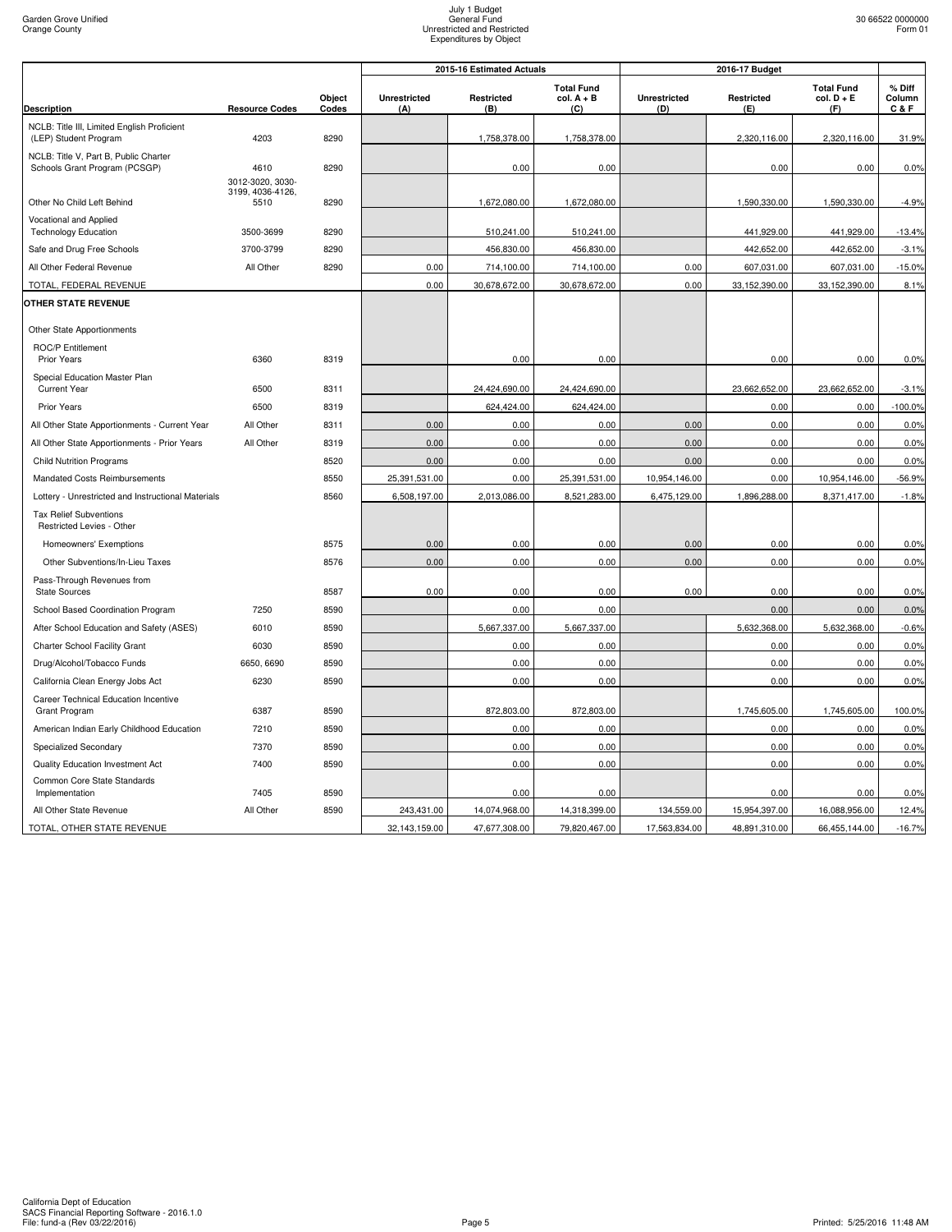|                                                            |                          |                 |                     | 2015-16 Estimated Actuals |                                          | 2016-17 Budget             |                   |                                          |                         |
|------------------------------------------------------------|--------------------------|-----------------|---------------------|---------------------------|------------------------------------------|----------------------------|-------------------|------------------------------------------|-------------------------|
| <b>Description</b>                                         | <b>Resource Codes</b>    | Object<br>Codes | Unrestricted<br>(A) | Restricted<br>(B)         | <b>Total Fund</b><br>$col. A + B$<br>(C) | <b>Unrestricted</b><br>(D) | Restricted<br>(E) | <b>Total Fund</b><br>$col. D + E$<br>(F) | % Diff<br>Column<br>C&F |
| NCLB: Title III, Limited English Proficient                |                          |                 |                     |                           |                                          |                            |                   |                                          |                         |
| (LEP) Student Program                                      | 4203                     | 8290            |                     | 1,758,378.00              | 1,758,378.00                             |                            | 2,320,116.00      | 2,320,116.00                             | 31.9%                   |
| NCLB: Title V, Part B, Public Charter                      |                          |                 |                     |                           |                                          |                            |                   |                                          |                         |
| Schools Grant Program (PCSGP)                              | 4610<br>3012-3020, 3030- | 8290            |                     | 0.00                      | 0.00                                     |                            | 0.00              | 0.00                                     | 0.0%                    |
| Other No Child Left Behind                                 | 3199, 4036-4126,<br>5510 | 8290            |                     | 1,672,080.00              | 1,672,080.00                             |                            | 1,590,330.00      | 1,590,330.00                             | $-4.9%$                 |
| Vocational and Applied                                     |                          |                 |                     |                           |                                          |                            |                   |                                          |                         |
| <b>Technology Education</b>                                | 3500-3699                | 8290            |                     | 510,241.00                | 510,241.00                               |                            | 441,929.00        | 441,929.00                               | $-13.4%$                |
| Safe and Drug Free Schools                                 | 3700-3799                | 8290            |                     | 456,830.00                | 456,830.00                               |                            | 442,652.00        | 442,652.00                               | $-3.1%$                 |
| All Other Federal Revenue                                  | All Other                | 8290            | 0.00                | 714,100.00                | 714,100.00                               | 0.00                       | 607,031.00        | 607,031.00                               | $-15.0%$                |
| TOTAL, FEDERAL REVENUE                                     |                          |                 | 0.00                | 30,678,672.00             | 30,678,672.00                            | 0.00                       | 33,152,390.00     | 33,152,390.00                            | 8.1%                    |
| <b>OTHER STATE REVENUE</b>                                 |                          |                 |                     |                           |                                          |                            |                   |                                          |                         |
| Other State Apportionments                                 |                          |                 |                     |                           |                                          |                            |                   |                                          |                         |
| <b>ROC/P Entitlement</b><br><b>Prior Years</b>             | 6360                     | 8319            |                     | 0.00                      | 0.00                                     |                            | 0.00              | 0.00                                     | 0.0%                    |
| Special Education Master Plan                              |                          |                 |                     |                           |                                          |                            |                   |                                          |                         |
| <b>Current Year</b>                                        | 6500                     | 8311            |                     | 24,424,690.00             | 24,424,690.00                            |                            | 23,662,652.00     | 23,662,652.00                            | $-3.1%$                 |
| <b>Prior Years</b>                                         | 6500                     | 8319            |                     | 624,424.00                | 624,424.00                               |                            | 0.00              | 0.00                                     | $-100.0%$               |
| All Other State Apportionments - Current Year              | All Other                | 8311            | 0.00                | 0.00                      | 0.00                                     | 0.00                       | 0.00              | 0.00                                     | 0.0%                    |
| All Other State Apportionments - Prior Years               | All Other                | 8319            | 0.00                | 0.00                      | 0.00                                     | 0.00                       | 0.00              | 0.00                                     | 0.0%                    |
| <b>Child Nutrition Programs</b>                            |                          | 8520            | 0.00                | 0.00                      | 0.00                                     | 0.00                       | 0.00              | 0.00                                     | 0.0%                    |
| Mandated Costs Reimbursements                              |                          | 8550            | 25,391,531.00       | 0.00                      | 25,391,531.00                            | 10,954,146.00              | 0.00              | 10,954,146.00                            | $-56.9%$                |
| Lottery - Unrestricted and Instructional Materials         |                          | 8560            | 6,508,197.00        | 2,013,086.00              | 8,521,283.00                             | 6,475,129.00               | 1,896,288.00      | 8,371,417.00                             | $-1.8%$                 |
| <b>Tax Relief Subventions</b><br>Restricted Levies - Other |                          |                 |                     |                           |                                          |                            |                   |                                          |                         |
| Homeowners' Exemptions                                     |                          | 8575            | 0.00                | 0.00                      | 0.00                                     | 0.00                       | 0.00              | 0.00                                     | 0.0%                    |
| Other Subventions/In-Lieu Taxes                            |                          | 8576            | 0.00                | 0.00                      | 0.00                                     | 0.00                       | 0.00              | 0.00                                     | 0.0%                    |
| Pass-Through Revenues from<br><b>State Sources</b>         |                          | 8587            | 0.00                | 0.00                      | 0.00                                     | 0.00                       | 0.00              | 0.00                                     | 0.0%                    |
| School Based Coordination Program                          | 7250                     | 8590            |                     | 0.00                      | 0.00                                     |                            | 0.00              | 0.00                                     | 0.0%                    |
| After School Education and Safety (ASES)                   | 6010                     | 8590            |                     | 5,667,337.00              | 5,667,337.00                             |                            | 5,632,368.00      | 5,632,368.00                             | $-0.6%$                 |
| Charter School Facility Grant                              | 6030                     | 8590            |                     | 0.00                      | 0.00                                     |                            | 0.00              | 0.00                                     | 0.0%                    |
| Drug/Alcohol/Tobacco Funds                                 | 6650, 6690               | 8590            |                     | 0.00                      | 0.00                                     |                            | 0.00              | 0.00                                     | 0.0%                    |
| California Clean Energy Jobs Act                           | 6230                     | 8590            |                     | 0.00                      | 0.00                                     |                            | 0.00              | 0.00                                     | 0.0%                    |
| Career Technical Education Incentive                       |                          |                 |                     |                           |                                          |                            |                   |                                          |                         |
| Grant Program                                              | 6387                     | 8590            |                     | 872,803.00                | 872,803.00                               |                            | 1,745,605.00      | 1,745,605.00                             | 100.0%                  |
| American Indian Early Childhood Education                  | 7210                     | 8590            |                     | 0.00                      | 0.00                                     |                            | 0.00              | 0.00                                     | 0.0%                    |
| Specialized Secondary                                      | 7370                     | 8590            |                     | 0.00                      | 0.00                                     |                            | 0.00              | 0.00                                     | 0.0%                    |
| Quality Education Investment Act                           | 7400                     | 8590            |                     | 0.00                      | 0.00                                     |                            | 0.00              | 0.00                                     | 0.0%                    |
| Common Core State Standards<br>Implementation              | 7405                     | 8590            |                     | 0.00                      | 0.00                                     |                            | 0.00              | 0.00                                     | 0.0%                    |
| All Other State Revenue                                    | All Other                | 8590            | 243,431.00          | 14,074,968.00             | 14,318,399.00                            | 134,559.00                 | 15,954,397.00     | 16,088,956.00                            | 12.4%                   |
| TOTAL, OTHER STATE REVENUE                                 |                          |                 | 32,143,159.00       | 47,677,308.00             | 79,820,467.00                            | 17,563,834.00              | 48,891,310.00     | 66,455,144.00                            | $-16.7%$                |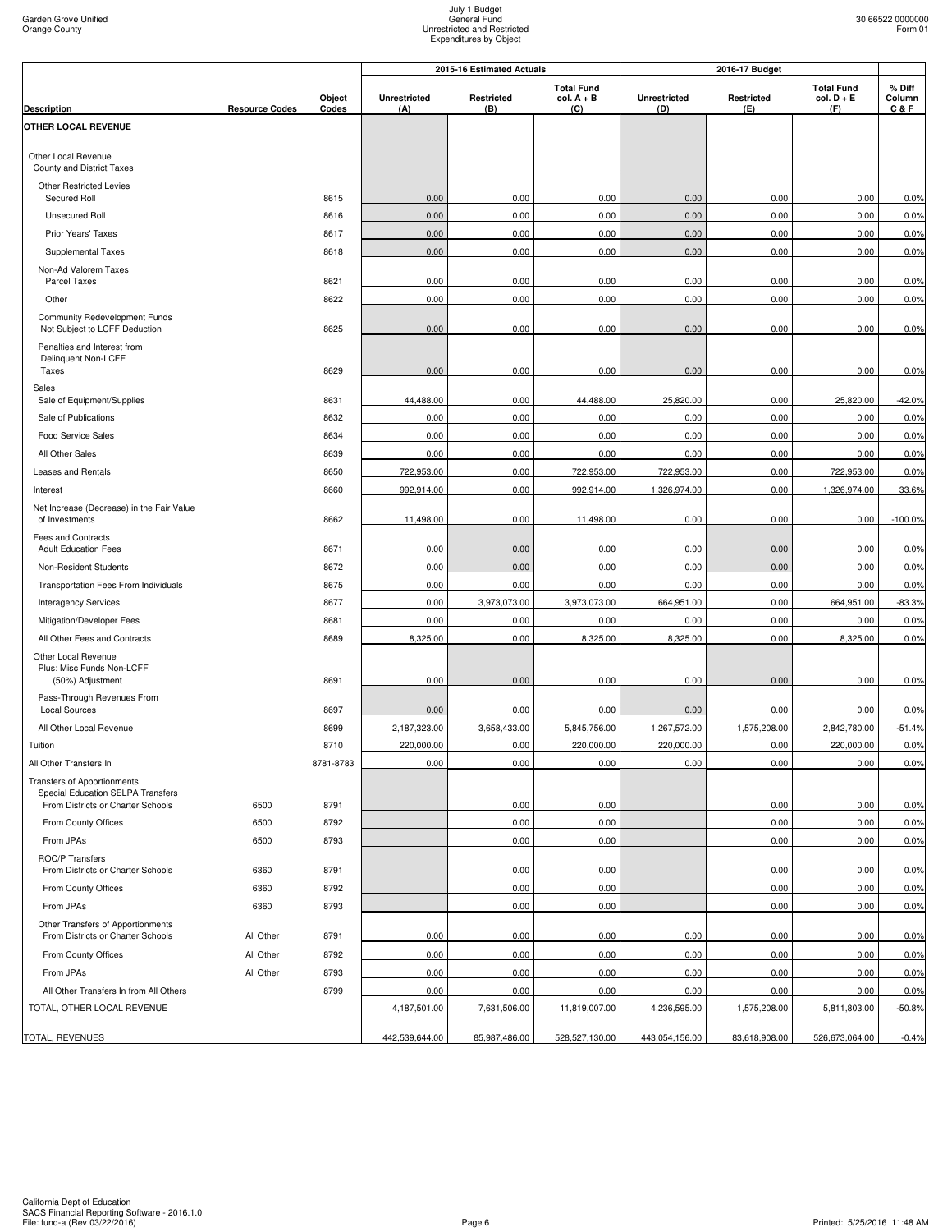|                                                                         |                       |           | 2016-17 Budget<br>2015-16 Estimated Actuals |               |                                   |                     |               |                                   |                  |
|-------------------------------------------------------------------------|-----------------------|-----------|---------------------------------------------|---------------|-----------------------------------|---------------------|---------------|-----------------------------------|------------------|
|                                                                         |                       | Object    | <b>Unrestricted</b>                         | Restricted    | <b>Total Fund</b><br>$col. A + B$ | <b>Unrestricted</b> | Restricted    | <b>Total Fund</b><br>$col. D + E$ | % Diff<br>Column |
| <b>Description</b><br>OTHER LOCAL REVENUE                               | <b>Resource Codes</b> | Codes     | (A)                                         | (B)           | (C)                               | (D)                 | (E)           | (F)                               | C&F              |
|                                                                         |                       |           |                                             |               |                                   |                     |               |                                   |                  |
| Other Local Revenue<br>County and District Taxes                        |                       |           |                                             |               |                                   |                     |               |                                   |                  |
| <b>Other Restricted Levies</b><br>Secured Roll                          |                       | 8615      | 0.00                                        | 0.00          | 0.00                              | 0.00                | 0.00          | 0.00                              | 0.0%             |
| <b>Unsecured Roll</b>                                                   |                       | 8616      | 0.00                                        | 0.00          | 0.00                              | 0.00                | 0.00          | 0.00                              | 0.0%             |
| Prior Years' Taxes                                                      |                       | 8617      | 0.00                                        | 0.00          | 0.00                              | 0.00                | 0.00          | 0.00                              | 0.0%             |
| Supplemental Taxes                                                      |                       | 8618      | 0.00                                        | 0.00          | 0.00                              | 0.00                | 0.00          | 0.00                              | 0.0%             |
| Non-Ad Valorem Taxes<br>Parcel Taxes                                    |                       | 8621      | 0.00                                        | 0.00          | 0.00                              | 0.00                | 0.00          | 0.00                              | 0.0%             |
| Other                                                                   |                       | 8622      | 0.00                                        | 0.00          | 0.00                              | 0.00                | 0.00          | 0.00                              | 0.0%             |
| Community Redevelopment Funds<br>Not Subject to LCFF Deduction          |                       | 8625      | 0.00                                        | 0.00          | 0.00                              | 0.00                | 0.00          | 0.00                              | 0.0%             |
| Penalties and Interest from<br>Delinquent Non-LCFF                      |                       |           |                                             |               |                                   |                     |               |                                   |                  |
| Taxes                                                                   |                       | 8629      | 0.00                                        | 0.00          | 0.00                              | 0.00                | 0.00          | 0.00                              | 0.0%             |
| Sales<br>Sale of Equipment/Supplies                                     |                       | 8631      | 44,488.00                                   | 0.00          | 44.488.00                         | 25,820.00           | 0.00          | 25,820.00                         | $-42.0%$         |
| Sale of Publications                                                    |                       | 8632      | 0.00                                        | 0.00          | 0.00                              | 0.00                | 0.00          | 0.00                              | 0.0%             |
| <b>Food Service Sales</b>                                               |                       | 8634      | 0.00                                        | 0.00          | 0.00                              | 0.00                | 0.00          | 0.00                              | 0.0%             |
| All Other Sales                                                         |                       | 8639      | 0.00                                        | 0.00          | 0.00                              | 0.00                | 0.00          | 0.00                              | 0.0%             |
| Leases and Rentals                                                      |                       | 8650      | 722,953.00                                  | 0.00          | 722,953.00                        | 722,953.00          | 0.00          | 722,953.00                        | 0.0%             |
| Interest                                                                |                       | 8660      | 992,914.00                                  | 0.00          | 992,914.00                        | 1,326,974.00        | 0.00          | 1,326,974.00                      | 33.6%            |
| Net Increase (Decrease) in the Fair Value<br>of Investments             |                       | 8662      | 11,498.00                                   | 0.00          | 11,498.00                         | 0.00                | 0.00          | 0.00                              | $-100.0%$        |
| Fees and Contracts<br><b>Adult Education Fees</b>                       |                       | 8671      | 0.00                                        | 0.00          | 0.00                              | 0.00                | 0.00          | 0.00                              | 0.0%             |
| Non-Resident Students                                                   |                       | 8672      | 0.00                                        | 0.00          | 0.00                              | 0.00                | 0.00          | 0.00                              | 0.0%             |
| Transportation Fees From Individuals                                    |                       | 8675      | 0.00                                        | 0.00          | 0.00                              | 0.00                | 0.00          | 0.00                              | 0.0%             |
| <b>Interagency Services</b>                                             |                       | 8677      | 0.00                                        | 3,973,073.00  | 3,973,073.00                      | 664,951.00          | 0.00          | 664,951.00                        | $-83.3%$         |
| Mitigation/Developer Fees                                               |                       | 8681      | 0.00                                        | 0.00          | 0.00                              | 0.00                | 0.00          | 0.00                              | 0.0%             |
| All Other Fees and Contracts                                            |                       | 8689      | 8,325.00                                    | 0.00          | 8,325.00                          | 8,325.00            | 0.00          | 8,325.00                          | 0.0%             |
| Other Local Revenue<br>Plus: Misc Funds Non-LCFF<br>(50%) Adjustment    |                       | 8691      | 0.00                                        | 0.00          | 0.00                              | 0.00                | 0.00          | 0.00                              | 0.0%             |
| Pass-Through Revenues From<br><b>Local Sources</b>                      |                       | 8697      | 0.00                                        | 0.00          | 0.00                              | 0.00                | 0.00          | 0.00                              | 0.0%             |
| All Other Local Revenue                                                 |                       | 8699      | 2,187,323.00                                | 3,658,433.00  | 5,845,756.00                      | 1,267,572.00        | 1,575,208.00  | 2,842,780.00                      | $-51.4%$         |
| Tuition                                                                 |                       | 8710      | 220,000.00                                  | 0.00          | 220,000.00                        | 220,000.00          | 0.00          | 220,000.00                        | 0.0%             |
| All Other Transfers In                                                  |                       | 8781-8783 | 0.00                                        | 0.00          | 0.00                              | 0.00                | 0.00          | 0.00                              | 0.0%             |
| <b>Transfers of Apportionments</b><br>Special Education SELPA Transfers |                       |           |                                             |               |                                   |                     |               |                                   |                  |
| From Districts or Charter Schools                                       | 6500                  | 8791      |                                             | 0.00          | 0.00                              |                     | 0.00          | 0.00                              | 0.0%             |
| From County Offices                                                     | 6500                  | 8792      |                                             | 0.00          | 0.00                              |                     | 0.00          | 0.00                              | 0.0%             |
| From JPAs                                                               | 6500                  | 8793      |                                             | 0.00          | 0.00                              |                     | 0.00          | 0.00                              | 0.0%             |
| ROC/P Transfers<br>From Districts or Charter Schools                    | 6360                  | 8791      |                                             | 0.00          | 0.00                              |                     | 0.00          | 0.00                              | 0.0%             |
| From County Offices                                                     | 6360                  | 8792      |                                             | 0.00          | 0.00                              |                     | 0.00          | 0.00                              | 0.0%             |
| From JPAs                                                               | 6360                  | 8793      |                                             | 0.00          | 0.00                              |                     | 0.00          | 0.00                              | 0.0%             |
| Other Transfers of Apportionments<br>From Districts or Charter Schools  | All Other             | 8791      | 0.00                                        | 0.00          | 0.00                              | 0.00                | 0.00          | 0.00                              | 0.0%             |
| From County Offices                                                     | All Other             | 8792      | 0.00                                        | 0.00          | 0.00                              | 0.00                | 0.00          | 0.00                              | 0.0%             |
| From JPAs                                                               | All Other             | 8793      | 0.00                                        | 0.00          | 0.00                              | 0.00                | 0.00          | 0.00                              | 0.0%             |
| All Other Transfers In from All Others                                  |                       | 8799      | 0.00                                        | 0.00          | 0.00                              | 0.00                | 0.00          | 0.00                              | 0.0%             |
| TOTAL, OTHER LOCAL REVENUE                                              |                       |           | 4,187,501.00                                | 7,631,506.00  | 11,819,007.00                     | 4,236,595.00        | 1,575,208.00  | 5,811,803.00                      | $-50.8%$         |
|                                                                         |                       |           |                                             |               |                                   |                     |               |                                   |                  |
| TOTAL, REVENUES                                                         |                       |           | 442,539,644.00                              | 85,987,486.00 | 528,527,130.00                    | 443,054,156.00      | 83,618,908.00 | 526,673,064.00                    | $-0.4%$          |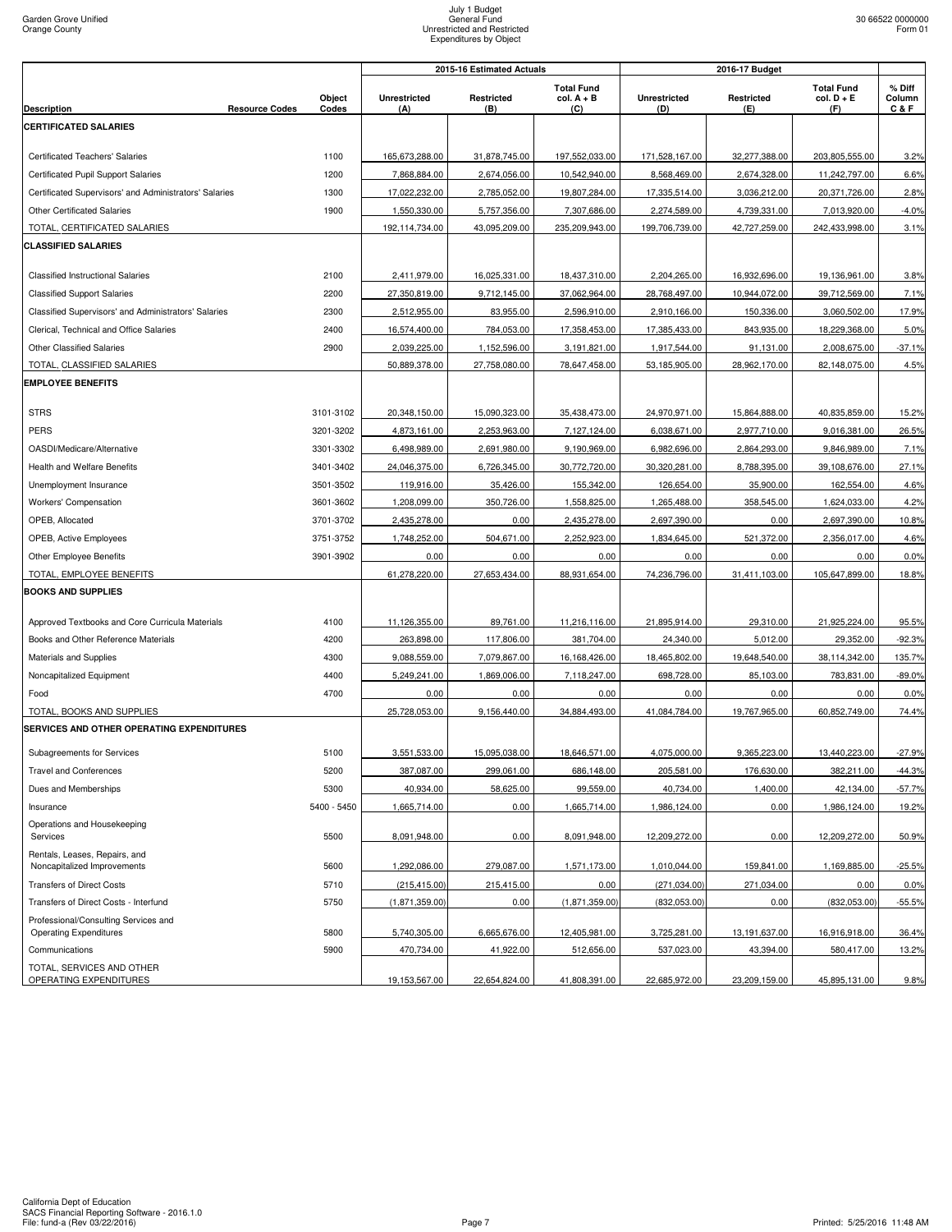| <b>Total Fund</b><br><b>Total Fund</b><br>% Diff<br>Object<br><b>Unrestricted</b><br>Restricted<br>$col. A + B$<br><b>Unrestricted</b><br>Restricted<br>$col. D + E$<br>Column<br><b>Resource Codes</b><br>Codes<br>C & F<br><b>Description</b><br>(C)<br>(F)<br>(A)<br>(B)<br>(D)<br>(E)<br><b>CERTIFICATED SALARIES</b><br>1100<br>165,673,288.00<br>31,878,745.00<br>197,552,033.00<br>171,528,167.00<br>32,277,388.00<br>203,805,555.00<br><b>Certificated Teachers' Salaries</b><br>7,868,884.00<br>2,674,056.00<br>10,542,940.00<br>8,568,469.00<br>2,674,328.00<br>Certificated Pupil Support Salaries<br>1200<br>11,242,797.00<br>Certificated Supervisors' and Administrators' Salaries<br>1300<br>17,022,232.00<br>2,785,052.00<br>19,807,284.00<br>17,335,514.00<br>3,036,212.00<br>20,371,726.00<br><b>Other Certificated Salaries</b><br>1900<br>1,550,330.00<br>5,757,356.00<br>7,307,686.00<br>2,274,589.00<br>4,739,331.00<br>7,013,920.00<br>TOTAL, CERTIFICATED SALARIES<br>192,114,734.00<br>43,095,209.00<br>235,209,943.00<br>199,706,739.00<br>42,727,259.00<br>242,433,998.00<br><b>CLASSIFIED SALARIES</b><br><b>Classified Instructional Salaries</b><br>2100<br>2,411,979.00<br>16,025,331.00<br>18,437,310.00<br>2,204,265.00<br>16,932,696.00<br>19,136,961.00<br>2200<br>27,350,819.00<br>9,712,145.00<br>37,062,964.00<br>28,768,497.00<br>39,712,569.00<br><b>Classified Support Salaries</b><br>10,944,072.00<br>2300<br>2,512,955.00<br>83,955.00<br>2,596,910.00<br>2,910,166.00<br>150,336.00<br>3,060,502.00<br>Classified Supervisors' and Administrators' Salaries<br>Clerical, Technical and Office Salaries<br>2400<br>16,574,400.00<br>784,053.00<br>17,358,453.00<br>17,385,433.00<br>843,935.00<br>18,229,368.00<br>2900<br><b>Other Classified Salaries</b><br>2,039,225.00<br>1,152,596.00<br>3,191,821.00<br>1,917,544.00<br>91,131.00<br>2,008,675.00<br>TOTAL, CLASSIFIED SALARIES<br>50,889,378.00<br>28,962,170.00<br>82,148,075.00<br>27,758,080.00<br>78,647,458.00<br>53,185,905.00<br><b>EMPLOYEE BENEFITS</b><br><b>STRS</b><br>3101-3102<br>20,348,150.00<br>15,090,323.00<br>35,438,473.00<br>24,970,971.00<br>15,864,888.00<br>40,835,859.00<br>PERS<br>3201-3202<br>4,873,161.00<br>2,253,963.00<br>7,127,124.00<br>6,038,671.00<br>2,977,710.00<br>9,016,381.00<br>3301-3302<br>6,498,989.00<br>2,691,980.00<br>9,190,969.00<br>6,982,696.00<br>2,864,293.00<br>9,846,989.00<br>OASDI/Medicare/Alternative<br><b>Health and Welfare Benefits</b><br>3401-3402<br>24,046,375.00<br>6,726,345.00<br>30,772,720.00<br>30,320,281.00<br>8,788,395.00<br>39,108,676.00<br>3501-3502<br>35,426.00<br>155,342.00<br>126,654.00<br>35,900.00<br>162,554.00<br>Unemployment Insurance<br>119,916.00<br>Workers' Compensation<br>3601-3602<br>1,208,099.00<br>350,726.00<br>1,558,825.00<br>1,265,488.00<br>358,545.00<br>1,624,033.00<br>OPEB, Allocated<br>3701-3702<br>2,435,278.00<br>0.00<br>2,435,278.00<br>2,697,390.00<br>0.00<br>2,697,390.00<br>OPEB, Active Employees<br>3751-3752<br>1,748,252.00<br>504,671.00<br>2,252,923.00<br>1,834,645.00<br>521,372.00<br>2,356,017.00<br>3901-3902<br>0.00<br>0.00<br>0.00<br>0.00<br>0.00<br>0.00<br>Other Employee Benefits<br>TOTAL, EMPLOYEE BENEFITS<br>61,278,220.00<br>27,653,434.00<br>88,931,654.00<br>74,236,796.00<br>31,411,103.00<br>105,647,899.00<br><b>BOOKS AND SUPPLIES</b><br>4100<br>11,126,355.00<br>89,761.00<br>11,216,116.00<br>21,895,914.00<br>29,310.00<br>21,925,224.00<br>Approved Textbooks and Core Curricula Materials<br>Books and Other Reference Materials<br>4200<br>263,898.00<br>117,806.00<br>381,704.00<br>24,340.00<br>5,012.00<br>29,352.00<br>9,088,559.00<br>7,079,867.00<br>16,168,426.00<br>18,465,802.00<br>19,648,540.00<br>38,114,342.00<br>Materials and Supplies<br>4300<br>4400<br>5,249,241.00<br>1,869,006.00<br>698,728.00<br>85,103.00<br>783,831.00<br>Noncapitalized Equipment<br>7,118,247.00<br>4700<br>0.00<br>0.00<br>0.00<br>0.00<br>0.00<br>0.00<br>Food<br>TOTAL, BOOKS AND SUPPLIES<br>25,728,053.00<br>9,156,440.00<br>41,084,784.00<br>60,852,749.00<br>34,884,493.00<br>19,767,965.00<br>SERVICES AND OTHER OPERATING EXPENDITURES<br>5100<br>3,551,533.00<br>15,095,038.00<br>18,646,571.00<br>4,075,000.00<br>9,365,223.00<br>13,440,223.00<br>$-27.9%$<br>Subagreements for Services<br><b>Travel and Conferences</b><br>5200<br>387,087.00<br>299,061.00<br>686,148.00<br>205,581.00<br>176,630.00<br>382,211.00<br>99,559.00<br>5300<br>40,934.00<br>58,625.00<br>40,734.00<br>1,400.00<br>Dues and Memberships<br>42,134.00<br>5400 - 5450<br>1,665,714.00<br>0.00<br>1,665,714.00<br>1,986,124.00<br>0.00<br>1,986,124.00<br>Insurance<br>Operations and Housekeeping<br>Services<br>5500<br>8,091,948.00<br>0.00<br>8,091,948.00<br>12,209,272.00<br>0.00<br>12,209,272.00<br>Rentals, Leases, Repairs, and<br>Noncapitalized Improvements<br>5600<br>1,292,086.00<br>279,087.00<br>1,571,173.00<br>1,010,044.00<br>159,841.00<br>1,169,885.00<br><b>Transfers of Direct Costs</b><br>5710<br>(215, 415.00)<br>215,415.00<br>0.00<br>(271, 034.00)<br>271,034.00<br>0.00<br>Transfers of Direct Costs - Interfund<br>(1,871,359.00)<br>(832,053.00)<br>5750<br>(1,871,359.00)<br>0.00<br>(832,053.00)<br>0.00<br>Professional/Consulting Services and<br>5800<br><b>Operating Expenditures</b><br>5,740,305.00<br>6,665,676.00<br>12,405,981.00<br>3,725,281.00<br>13,191,637.00<br>16,916,918.00<br>5900<br>41,922.00<br>512,656.00<br>537,023.00<br>Communications<br>470,734.00<br>43,394.00<br>580,417.00<br>TOTAL, SERVICES AND OTHER |                        | 2016-17 Budget<br>2015-16 Estimated Actuals |               |               |               |               |               |      |
|-------------------------------------------------------------------------------------------------------------------------------------------------------------------------------------------------------------------------------------------------------------------------------------------------------------------------------------------------------------------------------------------------------------------------------------------------------------------------------------------------------------------------------------------------------------------------------------------------------------------------------------------------------------------------------------------------------------------------------------------------------------------------------------------------------------------------------------------------------------------------------------------------------------------------------------------------------------------------------------------------------------------------------------------------------------------------------------------------------------------------------------------------------------------------------------------------------------------------------------------------------------------------------------------------------------------------------------------------------------------------------------------------------------------------------------------------------------------------------------------------------------------------------------------------------------------------------------------------------------------------------------------------------------------------------------------------------------------------------------------------------------------------------------------------------------------------------------------------------------------------------------------------------------------------------------------------------------------------------------------------------------------------------------------------------------------------------------------------------------------------------------------------------------------------------------------------------------------------------------------------------------------------------------------------------------------------------------------------------------------------------------------------------------------------------------------------------------------------------------------------------------------------------------------------------------------------------------------------------------------------------------------------------------------------------------------------------------------------------------------------------------------------------------------------------------------------------------------------------------------------------------------------------------------------------------------------------------------------------------------------------------------------------------------------------------------------------------------------------------------------------------------------------------------------------------------------------------------------------------------------------------------------------------------------------------------------------------------------------------------------------------------------------------------------------------------------------------------------------------------------------------------------------------------------------------------------------------------------------------------------------------------------------------------------------------------------------------------------------------------------------------------------------------------------------------------------------------------------------------------------------------------------------------------------------------------------------------------------------------------------------------------------------------------------------------------------------------------------------------------------------------------------------------------------------------------------------------------------------------------------------------------------------------------------------------------------------------------------------------------------------------------------------------------------------------------------------------------------------------------------------------------------------------------------------------------------------------------------------------------------------------------------------------------------------------------------------------------------------------------------------------------------------------------------------------------------------------------------------------------------------------------------------------------------------------------------------------------------------------------------------------------------------------------------------------------------------------------------------------------------------------------------------------------------------------------------------------------------------------------------------------------------------------------------------------------------------------------------------------------------------------------------------------------------------------------------------------------------------------------------------------------------------------------------------------------------------------------------------------------------------|------------------------|---------------------------------------------|---------------|---------------|---------------|---------------|---------------|------|
|                                                                                                                                                                                                                                                                                                                                                                                                                                                                                                                                                                                                                                                                                                                                                                                                                                                                                                                                                                                                                                                                                                                                                                                                                                                                                                                                                                                                                                                                                                                                                                                                                                                                                                                                                                                                                                                                                                                                                                                                                                                                                                                                                                                                                                                                                                                                                                                                                                                                                                                                                                                                                                                                                                                                                                                                                                                                                                                                                                                                                                                                                                                                                                                                                                                                                                                                                                                                                                                                                                                                                                                                                                                                                                                                                                                                                                                                                                                                                                                                                                                                                                                                                                                                                                                                                                                                                                                                                                                                                                                                                                                                                                                                                                                                                                                                                                                                                                                                                                                                                                                                                                                                                                                                                                                                                                                                                                                                                                                                                                                                                                                                                               |                        |                                             |               |               |               |               |               |      |
|                                                                                                                                                                                                                                                                                                                                                                                                                                                                                                                                                                                                                                                                                                                                                                                                                                                                                                                                                                                                                                                                                                                                                                                                                                                                                                                                                                                                                                                                                                                                                                                                                                                                                                                                                                                                                                                                                                                                                                                                                                                                                                                                                                                                                                                                                                                                                                                                                                                                                                                                                                                                                                                                                                                                                                                                                                                                                                                                                                                                                                                                                                                                                                                                                                                                                                                                                                                                                                                                                                                                                                                                                                                                                                                                                                                                                                                                                                                                                                                                                                                                                                                                                                                                                                                                                                                                                                                                                                                                                                                                                                                                                                                                                                                                                                                                                                                                                                                                                                                                                                                                                                                                                                                                                                                                                                                                                                                                                                                                                                                                                                                                                               |                        |                                             |               |               |               |               |               |      |
| 3.2%<br>6.6%<br>2.8%<br>$-4.0%$<br>3.1%<br>3.8%<br>7.1%<br>17.9%<br>5.0%<br>-37.1%<br>4.5%<br>15.2%<br>26.5%<br>7.1%<br>27.1%<br>4.6%<br>4.2%<br>10.8%<br>4.6%<br>0.0%<br>18.8%<br>95.5%<br>$-92.3%$<br>135.7%<br>$-89.0%$<br>0.0%<br>74.4%<br>$-44.3%$<br>$-57.7%$<br>19.2%<br>50.9%<br>$-25.5%$<br>0.0%<br>$-55.5%$<br>36.4%<br>13.2%                                                                                                                                                                                                                                                                                                                                                                                                                                                                                                                                                                                                                                                                                                                                                                                                                                                                                                                                                                                                                                                                                                                                                                                                                                                                                                                                                                                                                                                                                                                                                                                                                                                                                                                                                                                                                                                                                                                                                                                                                                                                                                                                                                                                                                                                                                                                                                                                                                                                                                                                                                                                                                                                                                                                                                                                                                                                                                                                                                                                                                                                                                                                                                                                                                                                                                                                                                                                                                                                                                                                                                                                                                                                                                                                                                                                                                                                                                                                                                                                                                                                                                                                                                                                                                                                                                                                                                                                                                                                                                                                                                                                                                                                                                                                                                                                                                                                                                                                                                                                                                                                                                                                                                                                                                                                                       |                        |                                             |               |               |               |               |               |      |
|                                                                                                                                                                                                                                                                                                                                                                                                                                                                                                                                                                                                                                                                                                                                                                                                                                                                                                                                                                                                                                                                                                                                                                                                                                                                                                                                                                                                                                                                                                                                                                                                                                                                                                                                                                                                                                                                                                                                                                                                                                                                                                                                                                                                                                                                                                                                                                                                                                                                                                                                                                                                                                                                                                                                                                                                                                                                                                                                                                                                                                                                                                                                                                                                                                                                                                                                                                                                                                                                                                                                                                                                                                                                                                                                                                                                                                                                                                                                                                                                                                                                                                                                                                                                                                                                                                                                                                                                                                                                                                                                                                                                                                                                                                                                                                                                                                                                                                                                                                                                                                                                                                                                                                                                                                                                                                                                                                                                                                                                                                                                                                                                                               |                        |                                             |               |               |               |               |               |      |
|                                                                                                                                                                                                                                                                                                                                                                                                                                                                                                                                                                                                                                                                                                                                                                                                                                                                                                                                                                                                                                                                                                                                                                                                                                                                                                                                                                                                                                                                                                                                                                                                                                                                                                                                                                                                                                                                                                                                                                                                                                                                                                                                                                                                                                                                                                                                                                                                                                                                                                                                                                                                                                                                                                                                                                                                                                                                                                                                                                                                                                                                                                                                                                                                                                                                                                                                                                                                                                                                                                                                                                                                                                                                                                                                                                                                                                                                                                                                                                                                                                                                                                                                                                                                                                                                                                                                                                                                                                                                                                                                                                                                                                                                                                                                                                                                                                                                                                                                                                                                                                                                                                                                                                                                                                                                                                                                                                                                                                                                                                                                                                                                                               |                        |                                             |               |               |               |               |               |      |
|                                                                                                                                                                                                                                                                                                                                                                                                                                                                                                                                                                                                                                                                                                                                                                                                                                                                                                                                                                                                                                                                                                                                                                                                                                                                                                                                                                                                                                                                                                                                                                                                                                                                                                                                                                                                                                                                                                                                                                                                                                                                                                                                                                                                                                                                                                                                                                                                                                                                                                                                                                                                                                                                                                                                                                                                                                                                                                                                                                                                                                                                                                                                                                                                                                                                                                                                                                                                                                                                                                                                                                                                                                                                                                                                                                                                                                                                                                                                                                                                                                                                                                                                                                                                                                                                                                                                                                                                                                                                                                                                                                                                                                                                                                                                                                                                                                                                                                                                                                                                                                                                                                                                                                                                                                                                                                                                                                                                                                                                                                                                                                                                                               |                        |                                             |               |               |               |               |               |      |
|                                                                                                                                                                                                                                                                                                                                                                                                                                                                                                                                                                                                                                                                                                                                                                                                                                                                                                                                                                                                                                                                                                                                                                                                                                                                                                                                                                                                                                                                                                                                                                                                                                                                                                                                                                                                                                                                                                                                                                                                                                                                                                                                                                                                                                                                                                                                                                                                                                                                                                                                                                                                                                                                                                                                                                                                                                                                                                                                                                                                                                                                                                                                                                                                                                                                                                                                                                                                                                                                                                                                                                                                                                                                                                                                                                                                                                                                                                                                                                                                                                                                                                                                                                                                                                                                                                                                                                                                                                                                                                                                                                                                                                                                                                                                                                                                                                                                                                                                                                                                                                                                                                                                                                                                                                                                                                                                                                                                                                                                                                                                                                                                                               |                        |                                             |               |               |               |               |               |      |
|                                                                                                                                                                                                                                                                                                                                                                                                                                                                                                                                                                                                                                                                                                                                                                                                                                                                                                                                                                                                                                                                                                                                                                                                                                                                                                                                                                                                                                                                                                                                                                                                                                                                                                                                                                                                                                                                                                                                                                                                                                                                                                                                                                                                                                                                                                                                                                                                                                                                                                                                                                                                                                                                                                                                                                                                                                                                                                                                                                                                                                                                                                                                                                                                                                                                                                                                                                                                                                                                                                                                                                                                                                                                                                                                                                                                                                                                                                                                                                                                                                                                                                                                                                                                                                                                                                                                                                                                                                                                                                                                                                                                                                                                                                                                                                                                                                                                                                                                                                                                                                                                                                                                                                                                                                                                                                                                                                                                                                                                                                                                                                                                                               |                        |                                             |               |               |               |               |               |      |
|                                                                                                                                                                                                                                                                                                                                                                                                                                                                                                                                                                                                                                                                                                                                                                                                                                                                                                                                                                                                                                                                                                                                                                                                                                                                                                                                                                                                                                                                                                                                                                                                                                                                                                                                                                                                                                                                                                                                                                                                                                                                                                                                                                                                                                                                                                                                                                                                                                                                                                                                                                                                                                                                                                                                                                                                                                                                                                                                                                                                                                                                                                                                                                                                                                                                                                                                                                                                                                                                                                                                                                                                                                                                                                                                                                                                                                                                                                                                                                                                                                                                                                                                                                                                                                                                                                                                                                                                                                                                                                                                                                                                                                                                                                                                                                                                                                                                                                                                                                                                                                                                                                                                                                                                                                                                                                                                                                                                                                                                                                                                                                                                                               |                        |                                             |               |               |               |               |               |      |
|                                                                                                                                                                                                                                                                                                                                                                                                                                                                                                                                                                                                                                                                                                                                                                                                                                                                                                                                                                                                                                                                                                                                                                                                                                                                                                                                                                                                                                                                                                                                                                                                                                                                                                                                                                                                                                                                                                                                                                                                                                                                                                                                                                                                                                                                                                                                                                                                                                                                                                                                                                                                                                                                                                                                                                                                                                                                                                                                                                                                                                                                                                                                                                                                                                                                                                                                                                                                                                                                                                                                                                                                                                                                                                                                                                                                                                                                                                                                                                                                                                                                                                                                                                                                                                                                                                                                                                                                                                                                                                                                                                                                                                                                                                                                                                                                                                                                                                                                                                                                                                                                                                                                                                                                                                                                                                                                                                                                                                                                                                                                                                                                                               |                        |                                             |               |               |               |               |               |      |
|                                                                                                                                                                                                                                                                                                                                                                                                                                                                                                                                                                                                                                                                                                                                                                                                                                                                                                                                                                                                                                                                                                                                                                                                                                                                                                                                                                                                                                                                                                                                                                                                                                                                                                                                                                                                                                                                                                                                                                                                                                                                                                                                                                                                                                                                                                                                                                                                                                                                                                                                                                                                                                                                                                                                                                                                                                                                                                                                                                                                                                                                                                                                                                                                                                                                                                                                                                                                                                                                                                                                                                                                                                                                                                                                                                                                                                                                                                                                                                                                                                                                                                                                                                                                                                                                                                                                                                                                                                                                                                                                                                                                                                                                                                                                                                                                                                                                                                                                                                                                                                                                                                                                                                                                                                                                                                                                                                                                                                                                                                                                                                                                                               |                        |                                             |               |               |               |               |               |      |
|                                                                                                                                                                                                                                                                                                                                                                                                                                                                                                                                                                                                                                                                                                                                                                                                                                                                                                                                                                                                                                                                                                                                                                                                                                                                                                                                                                                                                                                                                                                                                                                                                                                                                                                                                                                                                                                                                                                                                                                                                                                                                                                                                                                                                                                                                                                                                                                                                                                                                                                                                                                                                                                                                                                                                                                                                                                                                                                                                                                                                                                                                                                                                                                                                                                                                                                                                                                                                                                                                                                                                                                                                                                                                                                                                                                                                                                                                                                                                                                                                                                                                                                                                                                                                                                                                                                                                                                                                                                                                                                                                                                                                                                                                                                                                                                                                                                                                                                                                                                                                                                                                                                                                                                                                                                                                                                                                                                                                                                                                                                                                                                                                               |                        |                                             |               |               |               |               |               |      |
|                                                                                                                                                                                                                                                                                                                                                                                                                                                                                                                                                                                                                                                                                                                                                                                                                                                                                                                                                                                                                                                                                                                                                                                                                                                                                                                                                                                                                                                                                                                                                                                                                                                                                                                                                                                                                                                                                                                                                                                                                                                                                                                                                                                                                                                                                                                                                                                                                                                                                                                                                                                                                                                                                                                                                                                                                                                                                                                                                                                                                                                                                                                                                                                                                                                                                                                                                                                                                                                                                                                                                                                                                                                                                                                                                                                                                                                                                                                                                                                                                                                                                                                                                                                                                                                                                                                                                                                                                                                                                                                                                                                                                                                                                                                                                                                                                                                                                                                                                                                                                                                                                                                                                                                                                                                                                                                                                                                                                                                                                                                                                                                                                               |                        |                                             |               |               |               |               |               |      |
|                                                                                                                                                                                                                                                                                                                                                                                                                                                                                                                                                                                                                                                                                                                                                                                                                                                                                                                                                                                                                                                                                                                                                                                                                                                                                                                                                                                                                                                                                                                                                                                                                                                                                                                                                                                                                                                                                                                                                                                                                                                                                                                                                                                                                                                                                                                                                                                                                                                                                                                                                                                                                                                                                                                                                                                                                                                                                                                                                                                                                                                                                                                                                                                                                                                                                                                                                                                                                                                                                                                                                                                                                                                                                                                                                                                                                                                                                                                                                                                                                                                                                                                                                                                                                                                                                                                                                                                                                                                                                                                                                                                                                                                                                                                                                                                                                                                                                                                                                                                                                                                                                                                                                                                                                                                                                                                                                                                                                                                                                                                                                                                                                               |                        |                                             |               |               |               |               |               |      |
|                                                                                                                                                                                                                                                                                                                                                                                                                                                                                                                                                                                                                                                                                                                                                                                                                                                                                                                                                                                                                                                                                                                                                                                                                                                                                                                                                                                                                                                                                                                                                                                                                                                                                                                                                                                                                                                                                                                                                                                                                                                                                                                                                                                                                                                                                                                                                                                                                                                                                                                                                                                                                                                                                                                                                                                                                                                                                                                                                                                                                                                                                                                                                                                                                                                                                                                                                                                                                                                                                                                                                                                                                                                                                                                                                                                                                                                                                                                                                                                                                                                                                                                                                                                                                                                                                                                                                                                                                                                                                                                                                                                                                                                                                                                                                                                                                                                                                                                                                                                                                                                                                                                                                                                                                                                                                                                                                                                                                                                                                                                                                                                                                               |                        |                                             |               |               |               |               |               |      |
|                                                                                                                                                                                                                                                                                                                                                                                                                                                                                                                                                                                                                                                                                                                                                                                                                                                                                                                                                                                                                                                                                                                                                                                                                                                                                                                                                                                                                                                                                                                                                                                                                                                                                                                                                                                                                                                                                                                                                                                                                                                                                                                                                                                                                                                                                                                                                                                                                                                                                                                                                                                                                                                                                                                                                                                                                                                                                                                                                                                                                                                                                                                                                                                                                                                                                                                                                                                                                                                                                                                                                                                                                                                                                                                                                                                                                                                                                                                                                                                                                                                                                                                                                                                                                                                                                                                                                                                                                                                                                                                                                                                                                                                                                                                                                                                                                                                                                                                                                                                                                                                                                                                                                                                                                                                                                                                                                                                                                                                                                                                                                                                                                               |                        |                                             |               |               |               |               |               |      |
|                                                                                                                                                                                                                                                                                                                                                                                                                                                                                                                                                                                                                                                                                                                                                                                                                                                                                                                                                                                                                                                                                                                                                                                                                                                                                                                                                                                                                                                                                                                                                                                                                                                                                                                                                                                                                                                                                                                                                                                                                                                                                                                                                                                                                                                                                                                                                                                                                                                                                                                                                                                                                                                                                                                                                                                                                                                                                                                                                                                                                                                                                                                                                                                                                                                                                                                                                                                                                                                                                                                                                                                                                                                                                                                                                                                                                                                                                                                                                                                                                                                                                                                                                                                                                                                                                                                                                                                                                                                                                                                                                                                                                                                                                                                                                                                                                                                                                                                                                                                                                                                                                                                                                                                                                                                                                                                                                                                                                                                                                                                                                                                                                               |                        |                                             |               |               |               |               |               |      |
|                                                                                                                                                                                                                                                                                                                                                                                                                                                                                                                                                                                                                                                                                                                                                                                                                                                                                                                                                                                                                                                                                                                                                                                                                                                                                                                                                                                                                                                                                                                                                                                                                                                                                                                                                                                                                                                                                                                                                                                                                                                                                                                                                                                                                                                                                                                                                                                                                                                                                                                                                                                                                                                                                                                                                                                                                                                                                                                                                                                                                                                                                                                                                                                                                                                                                                                                                                                                                                                                                                                                                                                                                                                                                                                                                                                                                                                                                                                                                                                                                                                                                                                                                                                                                                                                                                                                                                                                                                                                                                                                                                                                                                                                                                                                                                                                                                                                                                                                                                                                                                                                                                                                                                                                                                                                                                                                                                                                                                                                                                                                                                                                                               |                        |                                             |               |               |               |               |               |      |
|                                                                                                                                                                                                                                                                                                                                                                                                                                                                                                                                                                                                                                                                                                                                                                                                                                                                                                                                                                                                                                                                                                                                                                                                                                                                                                                                                                                                                                                                                                                                                                                                                                                                                                                                                                                                                                                                                                                                                                                                                                                                                                                                                                                                                                                                                                                                                                                                                                                                                                                                                                                                                                                                                                                                                                                                                                                                                                                                                                                                                                                                                                                                                                                                                                                                                                                                                                                                                                                                                                                                                                                                                                                                                                                                                                                                                                                                                                                                                                                                                                                                                                                                                                                                                                                                                                                                                                                                                                                                                                                                                                                                                                                                                                                                                                                                                                                                                                                                                                                                                                                                                                                                                                                                                                                                                                                                                                                                                                                                                                                                                                                                                               |                        |                                             |               |               |               |               |               |      |
|                                                                                                                                                                                                                                                                                                                                                                                                                                                                                                                                                                                                                                                                                                                                                                                                                                                                                                                                                                                                                                                                                                                                                                                                                                                                                                                                                                                                                                                                                                                                                                                                                                                                                                                                                                                                                                                                                                                                                                                                                                                                                                                                                                                                                                                                                                                                                                                                                                                                                                                                                                                                                                                                                                                                                                                                                                                                                                                                                                                                                                                                                                                                                                                                                                                                                                                                                                                                                                                                                                                                                                                                                                                                                                                                                                                                                                                                                                                                                                                                                                                                                                                                                                                                                                                                                                                                                                                                                                                                                                                                                                                                                                                                                                                                                                                                                                                                                                                                                                                                                                                                                                                                                                                                                                                                                                                                                                                                                                                                                                                                                                                                                               |                        |                                             |               |               |               |               |               |      |
|                                                                                                                                                                                                                                                                                                                                                                                                                                                                                                                                                                                                                                                                                                                                                                                                                                                                                                                                                                                                                                                                                                                                                                                                                                                                                                                                                                                                                                                                                                                                                                                                                                                                                                                                                                                                                                                                                                                                                                                                                                                                                                                                                                                                                                                                                                                                                                                                                                                                                                                                                                                                                                                                                                                                                                                                                                                                                                                                                                                                                                                                                                                                                                                                                                                                                                                                                                                                                                                                                                                                                                                                                                                                                                                                                                                                                                                                                                                                                                                                                                                                                                                                                                                                                                                                                                                                                                                                                                                                                                                                                                                                                                                                                                                                                                                                                                                                                                                                                                                                                                                                                                                                                                                                                                                                                                                                                                                                                                                                                                                                                                                                                               |                        |                                             |               |               |               |               |               |      |
|                                                                                                                                                                                                                                                                                                                                                                                                                                                                                                                                                                                                                                                                                                                                                                                                                                                                                                                                                                                                                                                                                                                                                                                                                                                                                                                                                                                                                                                                                                                                                                                                                                                                                                                                                                                                                                                                                                                                                                                                                                                                                                                                                                                                                                                                                                                                                                                                                                                                                                                                                                                                                                                                                                                                                                                                                                                                                                                                                                                                                                                                                                                                                                                                                                                                                                                                                                                                                                                                                                                                                                                                                                                                                                                                                                                                                                                                                                                                                                                                                                                                                                                                                                                                                                                                                                                                                                                                                                                                                                                                                                                                                                                                                                                                                                                                                                                                                                                                                                                                                                                                                                                                                                                                                                                                                                                                                                                                                                                                                                                                                                                                                               |                        |                                             |               |               |               |               |               |      |
|                                                                                                                                                                                                                                                                                                                                                                                                                                                                                                                                                                                                                                                                                                                                                                                                                                                                                                                                                                                                                                                                                                                                                                                                                                                                                                                                                                                                                                                                                                                                                                                                                                                                                                                                                                                                                                                                                                                                                                                                                                                                                                                                                                                                                                                                                                                                                                                                                                                                                                                                                                                                                                                                                                                                                                                                                                                                                                                                                                                                                                                                                                                                                                                                                                                                                                                                                                                                                                                                                                                                                                                                                                                                                                                                                                                                                                                                                                                                                                                                                                                                                                                                                                                                                                                                                                                                                                                                                                                                                                                                                                                                                                                                                                                                                                                                                                                                                                                                                                                                                                                                                                                                                                                                                                                                                                                                                                                                                                                                                                                                                                                                                               |                        |                                             |               |               |               |               |               |      |
|                                                                                                                                                                                                                                                                                                                                                                                                                                                                                                                                                                                                                                                                                                                                                                                                                                                                                                                                                                                                                                                                                                                                                                                                                                                                                                                                                                                                                                                                                                                                                                                                                                                                                                                                                                                                                                                                                                                                                                                                                                                                                                                                                                                                                                                                                                                                                                                                                                                                                                                                                                                                                                                                                                                                                                                                                                                                                                                                                                                                                                                                                                                                                                                                                                                                                                                                                                                                                                                                                                                                                                                                                                                                                                                                                                                                                                                                                                                                                                                                                                                                                                                                                                                                                                                                                                                                                                                                                                                                                                                                                                                                                                                                                                                                                                                                                                                                                                                                                                                                                                                                                                                                                                                                                                                                                                                                                                                                                                                                                                                                                                                                                               |                        |                                             |               |               |               |               |               |      |
|                                                                                                                                                                                                                                                                                                                                                                                                                                                                                                                                                                                                                                                                                                                                                                                                                                                                                                                                                                                                                                                                                                                                                                                                                                                                                                                                                                                                                                                                                                                                                                                                                                                                                                                                                                                                                                                                                                                                                                                                                                                                                                                                                                                                                                                                                                                                                                                                                                                                                                                                                                                                                                                                                                                                                                                                                                                                                                                                                                                                                                                                                                                                                                                                                                                                                                                                                                                                                                                                                                                                                                                                                                                                                                                                                                                                                                                                                                                                                                                                                                                                                                                                                                                                                                                                                                                                                                                                                                                                                                                                                                                                                                                                                                                                                                                                                                                                                                                                                                                                                                                                                                                                                                                                                                                                                                                                                                                                                                                                                                                                                                                                                               |                        |                                             |               |               |               |               |               |      |
|                                                                                                                                                                                                                                                                                                                                                                                                                                                                                                                                                                                                                                                                                                                                                                                                                                                                                                                                                                                                                                                                                                                                                                                                                                                                                                                                                                                                                                                                                                                                                                                                                                                                                                                                                                                                                                                                                                                                                                                                                                                                                                                                                                                                                                                                                                                                                                                                                                                                                                                                                                                                                                                                                                                                                                                                                                                                                                                                                                                                                                                                                                                                                                                                                                                                                                                                                                                                                                                                                                                                                                                                                                                                                                                                                                                                                                                                                                                                                                                                                                                                                                                                                                                                                                                                                                                                                                                                                                                                                                                                                                                                                                                                                                                                                                                                                                                                                                                                                                                                                                                                                                                                                                                                                                                                                                                                                                                                                                                                                                                                                                                                                               |                        |                                             |               |               |               |               |               |      |
|                                                                                                                                                                                                                                                                                                                                                                                                                                                                                                                                                                                                                                                                                                                                                                                                                                                                                                                                                                                                                                                                                                                                                                                                                                                                                                                                                                                                                                                                                                                                                                                                                                                                                                                                                                                                                                                                                                                                                                                                                                                                                                                                                                                                                                                                                                                                                                                                                                                                                                                                                                                                                                                                                                                                                                                                                                                                                                                                                                                                                                                                                                                                                                                                                                                                                                                                                                                                                                                                                                                                                                                                                                                                                                                                                                                                                                                                                                                                                                                                                                                                                                                                                                                                                                                                                                                                                                                                                                                                                                                                                                                                                                                                                                                                                                                                                                                                                                                                                                                                                                                                                                                                                                                                                                                                                                                                                                                                                                                                                                                                                                                                                               |                        |                                             |               |               |               |               |               |      |
|                                                                                                                                                                                                                                                                                                                                                                                                                                                                                                                                                                                                                                                                                                                                                                                                                                                                                                                                                                                                                                                                                                                                                                                                                                                                                                                                                                                                                                                                                                                                                                                                                                                                                                                                                                                                                                                                                                                                                                                                                                                                                                                                                                                                                                                                                                                                                                                                                                                                                                                                                                                                                                                                                                                                                                                                                                                                                                                                                                                                                                                                                                                                                                                                                                                                                                                                                                                                                                                                                                                                                                                                                                                                                                                                                                                                                                                                                                                                                                                                                                                                                                                                                                                                                                                                                                                                                                                                                                                                                                                                                                                                                                                                                                                                                                                                                                                                                                                                                                                                                                                                                                                                                                                                                                                                                                                                                                                                                                                                                                                                                                                                                               |                        |                                             |               |               |               |               |               |      |
|                                                                                                                                                                                                                                                                                                                                                                                                                                                                                                                                                                                                                                                                                                                                                                                                                                                                                                                                                                                                                                                                                                                                                                                                                                                                                                                                                                                                                                                                                                                                                                                                                                                                                                                                                                                                                                                                                                                                                                                                                                                                                                                                                                                                                                                                                                                                                                                                                                                                                                                                                                                                                                                                                                                                                                                                                                                                                                                                                                                                                                                                                                                                                                                                                                                                                                                                                                                                                                                                                                                                                                                                                                                                                                                                                                                                                                                                                                                                                                                                                                                                                                                                                                                                                                                                                                                                                                                                                                                                                                                                                                                                                                                                                                                                                                                                                                                                                                                                                                                                                                                                                                                                                                                                                                                                                                                                                                                                                                                                                                                                                                                                                               |                        |                                             |               |               |               |               |               |      |
|                                                                                                                                                                                                                                                                                                                                                                                                                                                                                                                                                                                                                                                                                                                                                                                                                                                                                                                                                                                                                                                                                                                                                                                                                                                                                                                                                                                                                                                                                                                                                                                                                                                                                                                                                                                                                                                                                                                                                                                                                                                                                                                                                                                                                                                                                                                                                                                                                                                                                                                                                                                                                                                                                                                                                                                                                                                                                                                                                                                                                                                                                                                                                                                                                                                                                                                                                                                                                                                                                                                                                                                                                                                                                                                                                                                                                                                                                                                                                                                                                                                                                                                                                                                                                                                                                                                                                                                                                                                                                                                                                                                                                                                                                                                                                                                                                                                                                                                                                                                                                                                                                                                                                                                                                                                                                                                                                                                                                                                                                                                                                                                                                               |                        |                                             |               |               |               |               |               |      |
|                                                                                                                                                                                                                                                                                                                                                                                                                                                                                                                                                                                                                                                                                                                                                                                                                                                                                                                                                                                                                                                                                                                                                                                                                                                                                                                                                                                                                                                                                                                                                                                                                                                                                                                                                                                                                                                                                                                                                                                                                                                                                                                                                                                                                                                                                                                                                                                                                                                                                                                                                                                                                                                                                                                                                                                                                                                                                                                                                                                                                                                                                                                                                                                                                                                                                                                                                                                                                                                                                                                                                                                                                                                                                                                                                                                                                                                                                                                                                                                                                                                                                                                                                                                                                                                                                                                                                                                                                                                                                                                                                                                                                                                                                                                                                                                                                                                                                                                                                                                                                                                                                                                                                                                                                                                                                                                                                                                                                                                                                                                                                                                                                               |                        |                                             |               |               |               |               |               |      |
|                                                                                                                                                                                                                                                                                                                                                                                                                                                                                                                                                                                                                                                                                                                                                                                                                                                                                                                                                                                                                                                                                                                                                                                                                                                                                                                                                                                                                                                                                                                                                                                                                                                                                                                                                                                                                                                                                                                                                                                                                                                                                                                                                                                                                                                                                                                                                                                                                                                                                                                                                                                                                                                                                                                                                                                                                                                                                                                                                                                                                                                                                                                                                                                                                                                                                                                                                                                                                                                                                                                                                                                                                                                                                                                                                                                                                                                                                                                                                                                                                                                                                                                                                                                                                                                                                                                                                                                                                                                                                                                                                                                                                                                                                                                                                                                                                                                                                                                                                                                                                                                                                                                                                                                                                                                                                                                                                                                                                                                                                                                                                                                                                               |                        |                                             |               |               |               |               |               |      |
|                                                                                                                                                                                                                                                                                                                                                                                                                                                                                                                                                                                                                                                                                                                                                                                                                                                                                                                                                                                                                                                                                                                                                                                                                                                                                                                                                                                                                                                                                                                                                                                                                                                                                                                                                                                                                                                                                                                                                                                                                                                                                                                                                                                                                                                                                                                                                                                                                                                                                                                                                                                                                                                                                                                                                                                                                                                                                                                                                                                                                                                                                                                                                                                                                                                                                                                                                                                                                                                                                                                                                                                                                                                                                                                                                                                                                                                                                                                                                                                                                                                                                                                                                                                                                                                                                                                                                                                                                                                                                                                                                                                                                                                                                                                                                                                                                                                                                                                                                                                                                                                                                                                                                                                                                                                                                                                                                                                                                                                                                                                                                                                                                               |                        |                                             |               |               |               |               |               |      |
|                                                                                                                                                                                                                                                                                                                                                                                                                                                                                                                                                                                                                                                                                                                                                                                                                                                                                                                                                                                                                                                                                                                                                                                                                                                                                                                                                                                                                                                                                                                                                                                                                                                                                                                                                                                                                                                                                                                                                                                                                                                                                                                                                                                                                                                                                                                                                                                                                                                                                                                                                                                                                                                                                                                                                                                                                                                                                                                                                                                                                                                                                                                                                                                                                                                                                                                                                                                                                                                                                                                                                                                                                                                                                                                                                                                                                                                                                                                                                                                                                                                                                                                                                                                                                                                                                                                                                                                                                                                                                                                                                                                                                                                                                                                                                                                                                                                                                                                                                                                                                                                                                                                                                                                                                                                                                                                                                                                                                                                                                                                                                                                                                               |                        |                                             |               |               |               |               |               |      |
|                                                                                                                                                                                                                                                                                                                                                                                                                                                                                                                                                                                                                                                                                                                                                                                                                                                                                                                                                                                                                                                                                                                                                                                                                                                                                                                                                                                                                                                                                                                                                                                                                                                                                                                                                                                                                                                                                                                                                                                                                                                                                                                                                                                                                                                                                                                                                                                                                                                                                                                                                                                                                                                                                                                                                                                                                                                                                                                                                                                                                                                                                                                                                                                                                                                                                                                                                                                                                                                                                                                                                                                                                                                                                                                                                                                                                                                                                                                                                                                                                                                                                                                                                                                                                                                                                                                                                                                                                                                                                                                                                                                                                                                                                                                                                                                                                                                                                                                                                                                                                                                                                                                                                                                                                                                                                                                                                                                                                                                                                                                                                                                                                               |                        |                                             |               |               |               |               |               |      |
|                                                                                                                                                                                                                                                                                                                                                                                                                                                                                                                                                                                                                                                                                                                                                                                                                                                                                                                                                                                                                                                                                                                                                                                                                                                                                                                                                                                                                                                                                                                                                                                                                                                                                                                                                                                                                                                                                                                                                                                                                                                                                                                                                                                                                                                                                                                                                                                                                                                                                                                                                                                                                                                                                                                                                                                                                                                                                                                                                                                                                                                                                                                                                                                                                                                                                                                                                                                                                                                                                                                                                                                                                                                                                                                                                                                                                                                                                                                                                                                                                                                                                                                                                                                                                                                                                                                                                                                                                                                                                                                                                                                                                                                                                                                                                                                                                                                                                                                                                                                                                                                                                                                                                                                                                                                                                                                                                                                                                                                                                                                                                                                                                               |                        |                                             |               |               |               |               |               |      |
|                                                                                                                                                                                                                                                                                                                                                                                                                                                                                                                                                                                                                                                                                                                                                                                                                                                                                                                                                                                                                                                                                                                                                                                                                                                                                                                                                                                                                                                                                                                                                                                                                                                                                                                                                                                                                                                                                                                                                                                                                                                                                                                                                                                                                                                                                                                                                                                                                                                                                                                                                                                                                                                                                                                                                                                                                                                                                                                                                                                                                                                                                                                                                                                                                                                                                                                                                                                                                                                                                                                                                                                                                                                                                                                                                                                                                                                                                                                                                                                                                                                                                                                                                                                                                                                                                                                                                                                                                                                                                                                                                                                                                                                                                                                                                                                                                                                                                                                                                                                                                                                                                                                                                                                                                                                                                                                                                                                                                                                                                                                                                                                                                               |                        |                                             |               |               |               |               |               |      |
|                                                                                                                                                                                                                                                                                                                                                                                                                                                                                                                                                                                                                                                                                                                                                                                                                                                                                                                                                                                                                                                                                                                                                                                                                                                                                                                                                                                                                                                                                                                                                                                                                                                                                                                                                                                                                                                                                                                                                                                                                                                                                                                                                                                                                                                                                                                                                                                                                                                                                                                                                                                                                                                                                                                                                                                                                                                                                                                                                                                                                                                                                                                                                                                                                                                                                                                                                                                                                                                                                                                                                                                                                                                                                                                                                                                                                                                                                                                                                                                                                                                                                                                                                                                                                                                                                                                                                                                                                                                                                                                                                                                                                                                                                                                                                                                                                                                                                                                                                                                                                                                                                                                                                                                                                                                                                                                                                                                                                                                                                                                                                                                                                               |                        |                                             |               |               |               |               |               |      |
|                                                                                                                                                                                                                                                                                                                                                                                                                                                                                                                                                                                                                                                                                                                                                                                                                                                                                                                                                                                                                                                                                                                                                                                                                                                                                                                                                                                                                                                                                                                                                                                                                                                                                                                                                                                                                                                                                                                                                                                                                                                                                                                                                                                                                                                                                                                                                                                                                                                                                                                                                                                                                                                                                                                                                                                                                                                                                                                                                                                                                                                                                                                                                                                                                                                                                                                                                                                                                                                                                                                                                                                                                                                                                                                                                                                                                                                                                                                                                                                                                                                                                                                                                                                                                                                                                                                                                                                                                                                                                                                                                                                                                                                                                                                                                                                                                                                                                                                                                                                                                                                                                                                                                                                                                                                                                                                                                                                                                                                                                                                                                                                                                               |                        |                                             |               |               |               |               |               |      |
|                                                                                                                                                                                                                                                                                                                                                                                                                                                                                                                                                                                                                                                                                                                                                                                                                                                                                                                                                                                                                                                                                                                                                                                                                                                                                                                                                                                                                                                                                                                                                                                                                                                                                                                                                                                                                                                                                                                                                                                                                                                                                                                                                                                                                                                                                                                                                                                                                                                                                                                                                                                                                                                                                                                                                                                                                                                                                                                                                                                                                                                                                                                                                                                                                                                                                                                                                                                                                                                                                                                                                                                                                                                                                                                                                                                                                                                                                                                                                                                                                                                                                                                                                                                                                                                                                                                                                                                                                                                                                                                                                                                                                                                                                                                                                                                                                                                                                                                                                                                                                                                                                                                                                                                                                                                                                                                                                                                                                                                                                                                                                                                                                               |                        |                                             |               |               |               |               |               |      |
|                                                                                                                                                                                                                                                                                                                                                                                                                                                                                                                                                                                                                                                                                                                                                                                                                                                                                                                                                                                                                                                                                                                                                                                                                                                                                                                                                                                                                                                                                                                                                                                                                                                                                                                                                                                                                                                                                                                                                                                                                                                                                                                                                                                                                                                                                                                                                                                                                                                                                                                                                                                                                                                                                                                                                                                                                                                                                                                                                                                                                                                                                                                                                                                                                                                                                                                                                                                                                                                                                                                                                                                                                                                                                                                                                                                                                                                                                                                                                                                                                                                                                                                                                                                                                                                                                                                                                                                                                                                                                                                                                                                                                                                                                                                                                                                                                                                                                                                                                                                                                                                                                                                                                                                                                                                                                                                                                                                                                                                                                                                                                                                                                               |                        |                                             |               |               |               |               |               |      |
|                                                                                                                                                                                                                                                                                                                                                                                                                                                                                                                                                                                                                                                                                                                                                                                                                                                                                                                                                                                                                                                                                                                                                                                                                                                                                                                                                                                                                                                                                                                                                                                                                                                                                                                                                                                                                                                                                                                                                                                                                                                                                                                                                                                                                                                                                                                                                                                                                                                                                                                                                                                                                                                                                                                                                                                                                                                                                                                                                                                                                                                                                                                                                                                                                                                                                                                                                                                                                                                                                                                                                                                                                                                                                                                                                                                                                                                                                                                                                                                                                                                                                                                                                                                                                                                                                                                                                                                                                                                                                                                                                                                                                                                                                                                                                                                                                                                                                                                                                                                                                                                                                                                                                                                                                                                                                                                                                                                                                                                                                                                                                                                                                               |                        |                                             |               |               |               |               |               |      |
|                                                                                                                                                                                                                                                                                                                                                                                                                                                                                                                                                                                                                                                                                                                                                                                                                                                                                                                                                                                                                                                                                                                                                                                                                                                                                                                                                                                                                                                                                                                                                                                                                                                                                                                                                                                                                                                                                                                                                                                                                                                                                                                                                                                                                                                                                                                                                                                                                                                                                                                                                                                                                                                                                                                                                                                                                                                                                                                                                                                                                                                                                                                                                                                                                                                                                                                                                                                                                                                                                                                                                                                                                                                                                                                                                                                                                                                                                                                                                                                                                                                                                                                                                                                                                                                                                                                                                                                                                                                                                                                                                                                                                                                                                                                                                                                                                                                                                                                                                                                                                                                                                                                                                                                                                                                                                                                                                                                                                                                                                                                                                                                                                               |                        |                                             |               |               |               |               |               |      |
|                                                                                                                                                                                                                                                                                                                                                                                                                                                                                                                                                                                                                                                                                                                                                                                                                                                                                                                                                                                                                                                                                                                                                                                                                                                                                                                                                                                                                                                                                                                                                                                                                                                                                                                                                                                                                                                                                                                                                                                                                                                                                                                                                                                                                                                                                                                                                                                                                                                                                                                                                                                                                                                                                                                                                                                                                                                                                                                                                                                                                                                                                                                                                                                                                                                                                                                                                                                                                                                                                                                                                                                                                                                                                                                                                                                                                                                                                                                                                                                                                                                                                                                                                                                                                                                                                                                                                                                                                                                                                                                                                                                                                                                                                                                                                                                                                                                                                                                                                                                                                                                                                                                                                                                                                                                                                                                                                                                                                                                                                                                                                                                                                               |                        |                                             |               |               |               |               |               |      |
|                                                                                                                                                                                                                                                                                                                                                                                                                                                                                                                                                                                                                                                                                                                                                                                                                                                                                                                                                                                                                                                                                                                                                                                                                                                                                                                                                                                                                                                                                                                                                                                                                                                                                                                                                                                                                                                                                                                                                                                                                                                                                                                                                                                                                                                                                                                                                                                                                                                                                                                                                                                                                                                                                                                                                                                                                                                                                                                                                                                                                                                                                                                                                                                                                                                                                                                                                                                                                                                                                                                                                                                                                                                                                                                                                                                                                                                                                                                                                                                                                                                                                                                                                                                                                                                                                                                                                                                                                                                                                                                                                                                                                                                                                                                                                                                                                                                                                                                                                                                                                                                                                                                                                                                                                                                                                                                                                                                                                                                                                                                                                                                                                               |                        |                                             |               |               |               |               |               |      |
|                                                                                                                                                                                                                                                                                                                                                                                                                                                                                                                                                                                                                                                                                                                                                                                                                                                                                                                                                                                                                                                                                                                                                                                                                                                                                                                                                                                                                                                                                                                                                                                                                                                                                                                                                                                                                                                                                                                                                                                                                                                                                                                                                                                                                                                                                                                                                                                                                                                                                                                                                                                                                                                                                                                                                                                                                                                                                                                                                                                                                                                                                                                                                                                                                                                                                                                                                                                                                                                                                                                                                                                                                                                                                                                                                                                                                                                                                                                                                                                                                                                                                                                                                                                                                                                                                                                                                                                                                                                                                                                                                                                                                                                                                                                                                                                                                                                                                                                                                                                                                                                                                                                                                                                                                                                                                                                                                                                                                                                                                                                                                                                                                               |                        |                                             |               |               |               |               |               |      |
|                                                                                                                                                                                                                                                                                                                                                                                                                                                                                                                                                                                                                                                                                                                                                                                                                                                                                                                                                                                                                                                                                                                                                                                                                                                                                                                                                                                                                                                                                                                                                                                                                                                                                                                                                                                                                                                                                                                                                                                                                                                                                                                                                                                                                                                                                                                                                                                                                                                                                                                                                                                                                                                                                                                                                                                                                                                                                                                                                                                                                                                                                                                                                                                                                                                                                                                                                                                                                                                                                                                                                                                                                                                                                                                                                                                                                                                                                                                                                                                                                                                                                                                                                                                                                                                                                                                                                                                                                                                                                                                                                                                                                                                                                                                                                                                                                                                                                                                                                                                                                                                                                                                                                                                                                                                                                                                                                                                                                                                                                                                                                                                                                               |                        |                                             |               |               |               |               |               |      |
|                                                                                                                                                                                                                                                                                                                                                                                                                                                                                                                                                                                                                                                                                                                                                                                                                                                                                                                                                                                                                                                                                                                                                                                                                                                                                                                                                                                                                                                                                                                                                                                                                                                                                                                                                                                                                                                                                                                                                                                                                                                                                                                                                                                                                                                                                                                                                                                                                                                                                                                                                                                                                                                                                                                                                                                                                                                                                                                                                                                                                                                                                                                                                                                                                                                                                                                                                                                                                                                                                                                                                                                                                                                                                                                                                                                                                                                                                                                                                                                                                                                                                                                                                                                                                                                                                                                                                                                                                                                                                                                                                                                                                                                                                                                                                                                                                                                                                                                                                                                                                                                                                                                                                                                                                                                                                                                                                                                                                                                                                                                                                                                                                               |                        |                                             |               |               |               |               |               |      |
|                                                                                                                                                                                                                                                                                                                                                                                                                                                                                                                                                                                                                                                                                                                                                                                                                                                                                                                                                                                                                                                                                                                                                                                                                                                                                                                                                                                                                                                                                                                                                                                                                                                                                                                                                                                                                                                                                                                                                                                                                                                                                                                                                                                                                                                                                                                                                                                                                                                                                                                                                                                                                                                                                                                                                                                                                                                                                                                                                                                                                                                                                                                                                                                                                                                                                                                                                                                                                                                                                                                                                                                                                                                                                                                                                                                                                                                                                                                                                                                                                                                                                                                                                                                                                                                                                                                                                                                                                                                                                                                                                                                                                                                                                                                                                                                                                                                                                                                                                                                                                                                                                                                                                                                                                                                                                                                                                                                                                                                                                                                                                                                                                               | OPERATING EXPENDITURES | 19,153,567.00                               | 22,654,824.00 | 41,808,391.00 | 22,685,972.00 | 23,209,159.00 | 45,895,131.00 | 9.8% |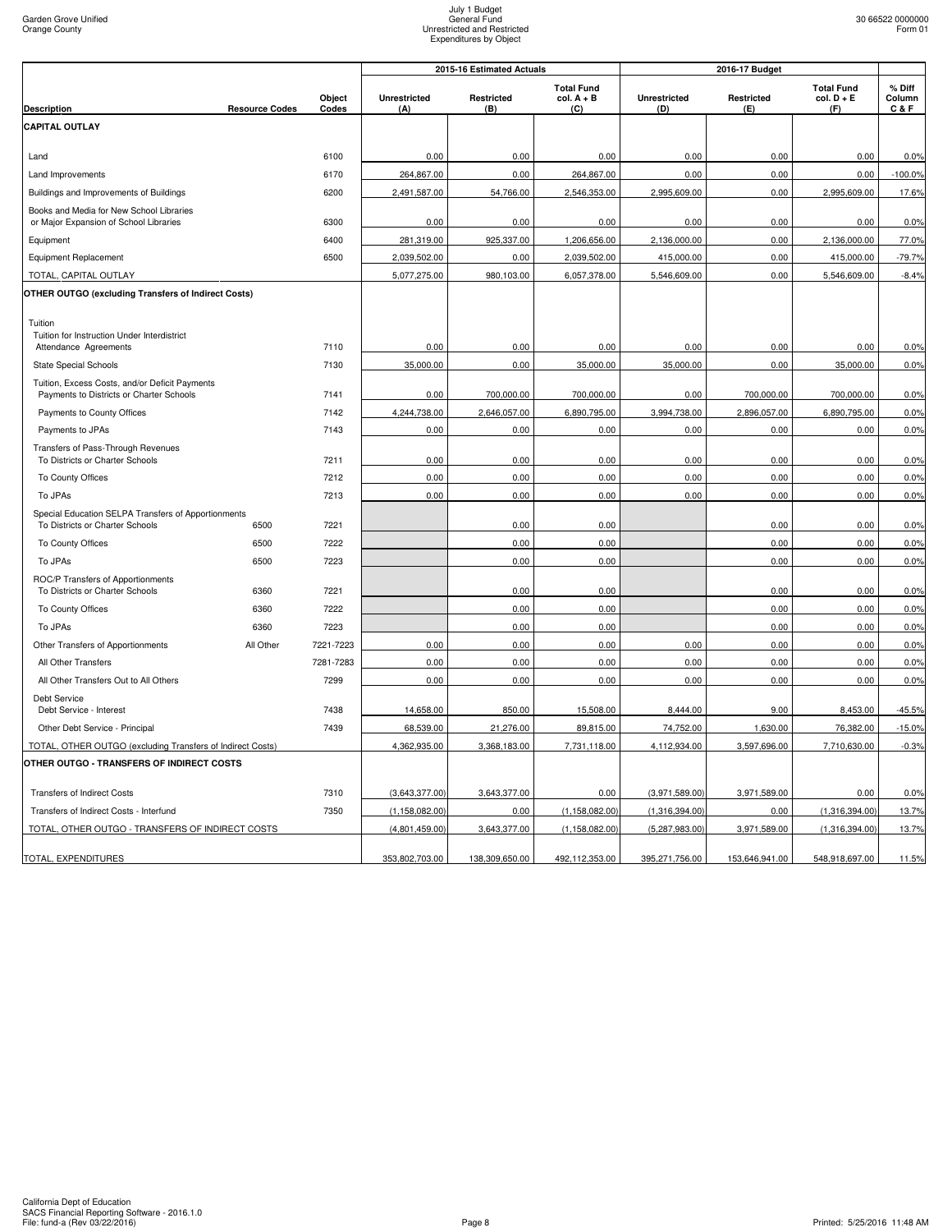|                                                                                            |                       |                 |                            | 2015-16 Estimated Actuals |                                          |                            | 2016-17 Budget    |                                          |                           |  |
|--------------------------------------------------------------------------------------------|-----------------------|-----------------|----------------------------|---------------------------|------------------------------------------|----------------------------|-------------------|------------------------------------------|---------------------------|--|
| <b>Description</b>                                                                         | <b>Resource Codes</b> | Object<br>Codes | <b>Unrestricted</b><br>(A) | Restricted<br>(B)         | <b>Total Fund</b><br>$col. A + B$<br>(C) | <b>Unrestricted</b><br>(D) | Restricted<br>(E) | <b>Total Fund</b><br>$col. D + E$<br>(F) | % Diff<br>Column<br>C & F |  |
| <b>CAPITAL OUTLAY</b>                                                                      |                       |                 |                            |                           |                                          |                            |                   |                                          |                           |  |
|                                                                                            |                       |                 |                            |                           |                                          |                            |                   |                                          |                           |  |
| Land                                                                                       |                       | 6100            | 0.00                       | 0.00                      | 0.00                                     | 0.00                       | 0.00              | 0.00                                     | 0.0%                      |  |
| Land Improvements                                                                          |                       | 6170            | 264.867.00                 | 0.00                      | 264.867.00                               | 0.00                       | 0.00              | 0.00                                     | $-100.0%$                 |  |
| Buildings and Improvements of Buildings                                                    |                       | 6200            | 2,491,587.00               | 54,766.00                 | 2,546,353.00                             | 2,995,609.00               | 0.00              | 2,995,609.00                             | 17.6%                     |  |
| Books and Media for New School Libraries<br>or Major Expansion of School Libraries         |                       | 6300            | 0.00                       | 0.00                      | 0.00                                     | 0.00                       | 0.00              | 0.00                                     | 0.0%                      |  |
| Equipment                                                                                  |                       | 6400            | 281,319.00                 | 925,337.00                | 1,206,656.00                             | 2,136,000.00               | 0.00              | 2,136,000.00                             | 77.0%                     |  |
| Equipment Replacement                                                                      |                       | 6500            | 2,039,502.00               | 0.00                      | 2,039,502.00                             | 415,000.00                 | 0.00              | 415,000.00                               | $-79.7%$                  |  |
| TOTAL, CAPITAL OUTLAY                                                                      |                       |                 | 5,077,275.00               | 980,103.00                | 6,057,378.00                             | 5,546,609.00               | 0.00              | 5,546,609.00                             | $-8.4%$                   |  |
| OTHER OUTGO (excluding Transfers of Indirect Costs)                                        |                       |                 |                            |                           |                                          |                            |                   |                                          |                           |  |
| Tuition                                                                                    |                       |                 |                            |                           |                                          |                            |                   |                                          |                           |  |
| Tuition for Instruction Under Interdistrict                                                |                       |                 |                            |                           |                                          |                            |                   |                                          |                           |  |
| Attendance Agreements                                                                      |                       | 7110            | 0.00                       | 0.00                      | 0.00                                     | 0.00                       | 0.00              | 0.00                                     | 0.0%                      |  |
| <b>State Special Schools</b>                                                               |                       | 7130            | 35,000.00                  | 0.00                      | 35,000.00                                | 35,000.00                  | 0.00              | 35,000.00                                | 0.0%                      |  |
| Tuition, Excess Costs, and/or Deficit Payments<br>Payments to Districts or Charter Schools |                       | 7141            | 0.00                       | 700,000.00                | 700,000.00                               | 0.00                       | 700,000.00        | 700,000.00                               | 0.0%                      |  |
| Payments to County Offices                                                                 |                       | 7142            | 4,244,738.00               | 2,646,057.00              | 6,890,795.00                             | 3,994,738.00               | 2,896,057.00      | 6,890,795.00                             | 0.0%                      |  |
| Payments to JPAs                                                                           |                       | 7143            | 0.00                       | 0.00                      | 0.00                                     | 0.00                       | 0.00              | 0.00                                     | 0.0%                      |  |
| Transfers of Pass-Through Revenues<br>To Districts or Charter Schools                      |                       | 7211            | 0.00                       | 0.00                      | 0.00                                     | 0.00                       | 0.00              | 0.00                                     | 0.0%                      |  |
| To County Offices                                                                          |                       | 7212            | 0.00                       | 0.00                      | 0.00                                     | 0.00                       | 0.00              | 0.00                                     | 0.0%                      |  |
| To JPAs                                                                                    |                       | 7213            | 0.00                       | 0.00                      | 0.00                                     | 0.00                       | 0.00              | 0.00                                     | 0.0%                      |  |
| Special Education SELPA Transfers of Apportionments                                        |                       |                 |                            |                           |                                          |                            |                   |                                          |                           |  |
| To Districts or Charter Schools                                                            | 6500                  | 7221            |                            | 0.00                      | 0.00                                     |                            | 0.00              | 0.00                                     | 0.0%                      |  |
| To County Offices                                                                          | 6500                  | 7222            |                            | 0.00                      | 0.00                                     |                            | 0.00              | 0.00                                     | 0.0%                      |  |
| To JPAs                                                                                    | 6500                  | 7223            |                            | 0.00                      | 0.00                                     |                            | 0.00              | 0.00                                     | 0.0%                      |  |
| ROC/P Transfers of Apportionments<br>To Districts or Charter Schools                       | 6360                  | 7221            |                            | 0.00                      | 0.00                                     |                            | 0.00              | 0.00                                     | 0.0%                      |  |
| To County Offices                                                                          | 6360                  | 7222            |                            | 0.00                      | 0.00                                     |                            | 0.00              | 0.00                                     | 0.0%                      |  |
| To JPAs                                                                                    | 6360                  | 7223            |                            | 0.00                      | 0.00                                     |                            | 0.00              | 0.00                                     | 0.0%                      |  |
| Other Transfers of Apportionments                                                          | All Other             | 7221-7223       | 0.00                       | 0.00                      | 0.00                                     | 0.00                       | 0.00              | 0.00                                     | 0.0%                      |  |
| All Other Transfers                                                                        |                       | 7281-7283       | 0.00                       | 0.00                      | 0.00                                     | 0.00                       | 0.00              | 0.00                                     | 0.0%                      |  |
| All Other Transfers Out to All Others                                                      |                       | 7299            | 0.00                       | 0.00                      | 0.00                                     | 0.00                       | 0.00              | 0.00                                     | 0.0%                      |  |
| Debt Service<br>Debt Service - Interest                                                    |                       | 7438            | 14,658.00                  | 850.00                    | 15,508.00                                | 8,444.00                   | 9.00              | 8,453.00                                 | $-45.5%$                  |  |
| Other Debt Service - Principal                                                             |                       | 7439            | 68,539.00                  | 21,276.00                 | 89,815.00                                | 74,752.00                  | 1,630.00          | 76,382.00                                | $-15.0%$                  |  |
| TOTAL, OTHER OUTGO (excluding Transfers of Indirect Costs)                                 |                       |                 | 4,362,935.00               | 3,368,183.00              | 7,731,118.00                             | 4,112,934.00               | 3,597,696.00      | 7,710,630.00                             | $-0.3%$                   |  |
| OTHER OUTGO - TRANSFERS OF INDIRECT COSTS                                                  |                       |                 |                            |                           |                                          |                            |                   |                                          |                           |  |
| <b>Transfers of Indirect Costs</b>                                                         |                       | 7310            | (3,643,377.00)             | 3,643,377.00              | 0.00                                     | (3,971,589.00)             | 3,971,589.00      | 0.00                                     | 0.0%                      |  |
| Transfers of Indirect Costs - Interfund                                                    |                       | 7350            | (1, 158, 082.00)           | 0.00                      | (1, 158, 082.00)                         | (1,316,394.00)             | 0.00              | (1,316,394.00)                           | 13.7%                     |  |
| TOTAL, OTHER OUTGO - TRANSFERS OF INDIRECT COSTS                                           |                       |                 | (4,801,459.00)             | 3,643,377.00              | (1, 158, 082.00)                         | (5,287,983.00)             | 3,971,589.00      | (1,316,394.00)                           | 13.7%                     |  |
| TOTAL, EXPENDITURES                                                                        |                       |                 | 353,802,703.00             | 138,309,650.00            | 492,112,353.00                           | 395,271,756.00             | 153,646,941.00    | 548,918,697.00                           | 11.5%                     |  |
|                                                                                            |                       |                 |                            |                           |                                          |                            |                   |                                          |                           |  |